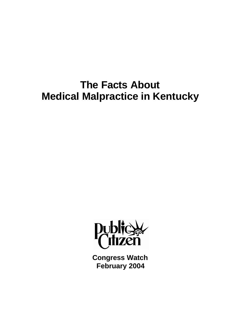# **The Facts About Medical Malpractice in Kentucky**



**Congress Watch February 2004**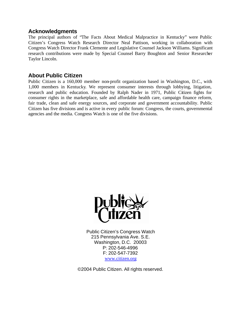#### **Acknowledgments**

The principal authors of "The Facts About Medical Malpractice in Kentucky" were Public Citizen's Congress Watch Research Director Neal Pattison, working in collaboration with Congress Watch Director Frank Clemente and Legislative Counsel Jackson Williams. Significant research contributions were made by Special Counsel Barry Boughton and Senior Researcher Taylor Lincoln.

#### **About Public Citizen**

Public Citizen is a 160,000 member non-profit organization based in Washington, D.C., with 1,000 members in Kentucky. We represent consumer interests through lobbying, litigation, research and public education. Founded by Ralph Nader in 1971, Public Citizen fights for consumer rights in the marketplace, safe and affordable health care, campaign finance reform, fair trade, clean and safe energy sources, and corporate and government accountability. Public Citizen has five divisions and is active in every public forum: Congress, the courts, governmental agencies and the media. Congress Watch is one of the five divisions.



Public Citizen's Congress Watch 215 Pennsylvania Ave. S.E. Washington, D.C. 20003 P: 202-546-4996 F: 202-547-7392 www.citizen.org

©2004 Public Citizen. All rights reserved.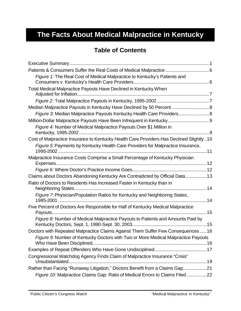# **The Facts About Medical Malpractice in Kentucky**

## **Table of Contents**

| Patients & Consumers Suffer the Real Costs of Medical Malpractice  6                                                                                                       |  |
|----------------------------------------------------------------------------------------------------------------------------------------------------------------------------|--|
| Figure 1: The Real Cost of Medical Malpractice to Kentucky's Patients and                                                                                                  |  |
| Total Medical Malpractice Payouts Have Declined in Kentucky When                                                                                                           |  |
|                                                                                                                                                                            |  |
| Median Malpractice Payouts in Kentucky Have Declined by 50 Percent 8                                                                                                       |  |
| Figure 3: Median Malpractice Payouts Kentucky Health Care Providers 8                                                                                                      |  |
| Figure 4: Number of Medical Malpractice Payouts Over \$1 Million in                                                                                                        |  |
|                                                                                                                                                                            |  |
| Cost of Malpractice Insurance to Kentucky Health Care Providers Has Declined Slightly10<br>Figure 5: Payments by Kentucky Health Care Providers for Malpractice Insurance, |  |
| Malpractice Insurance Costs Comprise a Small Percentage of Kentucky Physician                                                                                              |  |
|                                                                                                                                                                            |  |
| Claims about Doctors Abandoning Kentucky Are Contradicted by Official Data 13                                                                                              |  |
| Ratio of Doctors to Residents Has Increased Faster in Kentucky than in                                                                                                     |  |
| Figure 7: Physician/Population Ratios for Kentucky and Neighboring States,                                                                                                 |  |
| Five Percent of Doctors Are Responsible for Half of Kentucky Medical Malpractice                                                                                           |  |
| Figure 8: Number of Medical Malpractice Payouts to Patients and Amounts Paid by                                                                                            |  |
| Doctors with Repeated Malpractice Claims Against Them Suffer Few Consequences16<br>Figure 9: Number of Kentucky Doctors with Two or More Medical Malpractice Payouts       |  |
|                                                                                                                                                                            |  |
|                                                                                                                                                                            |  |
| Congressional Watchdog Agency Finds Claim of Malpractice Insurance "Crisis"                                                                                                |  |
| Rather than Facing "Runaway Litigation," Doctors Benefit from a Claims Gap21                                                                                               |  |
| Figure 10: Malpractice Claims Gap: Ratio of Medical Errors to Claims Filed22                                                                                               |  |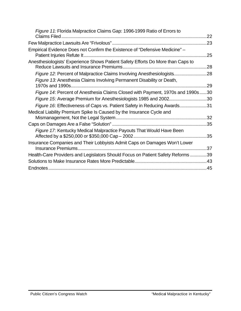| Figure 11: Florida Malpractice Claims Gap: 1996-1999 Ratio of Errors to         | 22  |
|---------------------------------------------------------------------------------|-----|
|                                                                                 | .23 |
| Empirical Evidence Does not Confirm the Existence of "Defensive Medicine" -     | .25 |
| Anesthesiologists' Experience Shows Patient Safety Efforts Do More than Caps to | .28 |
| Figure 12: Percent of Malpractice Claims Involving Anesthesiologists            | .28 |
| Figure 13: Anesthesia Claims Involving Permanent Disability or Death,           |     |
|                                                                                 | 29  |
| Figure 14: Percent of Anesthesia Claims Closed with Payment, 1970s and 1990s30  |     |
| Figure 15: Average Premium for Anesthesiologists 1985 and 200230                |     |
| Figure 16: Effectiveness of Caps vs. Patient Safety in Reducing Awards31        |     |
| Medical Liability Premium Spike Is Caused by the Insurance Cycle and            |     |
|                                                                                 | .32 |
|                                                                                 |     |
| Figure 17: Kentucky Medical Malpractice Payouts That Would Have Been            |     |
| Insurance Companies and Their Lobbyists Admit Caps on Damages Won't Lower       | .37 |
| Health-Care Providers and Legislators Should Focus on Patient Safety Reforms 39 |     |
|                                                                                 |     |
|                                                                                 |     |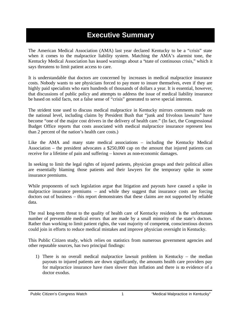# **Executive Summary**

The American Medical Association (AMA) last year declared Kentucky to be a "crisis" state when it comes to the malpractice liability system. Matching the AMA's alarmist tone, the Kentucky Medical Association has issued warnings about a "state of continuous crisis," which it says threatens to limit patient access to care.

It is understandable that doctors are concerned by increases in medical malpractice insurance costs. Nobody wants to see physicians forced to pay more to insure themselves, even if they are highly paid specialists who earn hundreds of thousands of dollars a year. It is essential, however, that discussions of public policy and attempts to address the issue of medical liability insurance be based on solid facts, not a false sense of "crisis" generated to serve special interests.

The strident tone used to discuss medical malpractice in Kentucky mirrors comments made on the national level, including claims by President Bush that "junk and frivolous lawsuits" have become "one of the major cost drivers in the delivery of health care." (In fact, the Congressional Budget Office reports that costs associated with medical malpractice insurance represent less than 2 percent of the nation's health care costs.)

Like the AMA and many state medical associations – including the Kentucky Medical Association – the president advocates a \$250,000 cap on the amount that injured patients can receive for a lifetime of pain and suffering – known as non-economic damages.

In seeking to limit the legal rights of injured patients, physician groups and their political allies are essentially blaming those patients and their lawyers for the temporary spike in some insurance premiums.

While proponents of such legislation argue that litigation and payouts have caused a spike in malpractice insurance premiums – and while they suggest that insurance costs are forcing doctors out of business – this report demonstrates that these claims are not supported by reliable data.

The real bng-term threat to the quality of health care of Kentucky residents is the unfortunate number of preventable medical errors that are made by a small minority of the state's doctors. Rather than working to limit patient rights, the vast majority of competent, conscientious doctors could join in efforts to reduce medical mistakes and improve physician oversight in Kentucky.

This Public Citizen study, which relies on statistics from numerous government agencies and other reputable sources, has two principal findings:

1) There is no overall medical malpractice lawsuit problem in Kentucky – the median payouts to injured patients are down significantly, the amounts health care providers pay for malpractice insurance have risen slower than inflation and there is no evidence of a doctor exodus.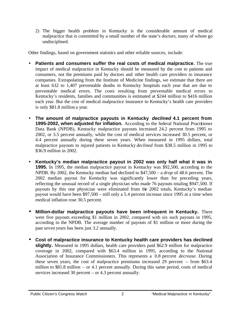2) The bigger health problem in Kentucky is the considerable amount of medical malpractice that is committed by a small number of the state's doctors, many of whom go undisciplined.

Other findings, based on government statistics and other reliable sources, include:

- **Patients and consumers suffer the real costs of medical malpractice.** The true impact of medical malpractice in Kentucky should be measured by the cost to patients and consumers, not the premiums paid by doctors and other health care providers to insurance companies. Extrapolating from the Institute of Medicine findings, we estimate that there are at least 632 to 1,407 preventable deaths in Kentucky hospitals each year that are due to preventable medical errors. The costs resulting from preventable medical errors to Kentucky's residents, families and communities is estimated at \$244 million to \$416 million each year. But the cost of medical malpractice insurance to Kentucky's health care providers is only \$81.8 million a year.
- **The amount of malpractice payouts in Kentucky** *declined* **4.1 percent from 1995-2002, when adjusted for inflation.** According to the federal National Practitioner Data Bank (NPDB), Kentucky malpractice payouts increased 24.2 percent from 1995 to 2002, or 3.5 percent annually, while the cost of medical services increased 30.5 percent, or 4.4 percent annually during these seven years. When measured in 1995 dollars, total malpractice payouts to injured patients in Kentucky *declined* from \$38.5 million in 1995 to \$36.9 million in 2002.
- **Kentucky's median malpractice payout in 2002 was only half what it was in 1995.** In 1995, the median malpractice payout in Kentucky was \$92,500, according to the NPDB. By 2002, the Kentucky median had declined to \$47,500 – a *drop* of 48.6 percent. The 2002 median payout for Kentucky was significantly lower than for preceding years, reflecting the unusual record of a single physician who made 76 payouts totaling \$947,500. If payouts by this one physician were eliminated from the 2002 totals, Kentucky's median payout would have been \$97,500 – still only a 5.4 percent increase since 1995 at a time when medical inflation rose 30.5 percent.
- **Million-dollar malpractice payouts have been infrequent in Kentucky.** There were five payouts exceeding \$1 million in 2002, compared with six such payouts in 1995, according to the NPDB. The average number of payouts of \$1 million or more during the past seven years has been just 3.2 annually.
- **Cost of malpractice insurance to Kentucky health care providers has declined slightly.** Measured in 1995 dollars, health care providers paid \$62.9 million for malpractice coverage in 2002, compared with \$63.4 million in 1995, according to the National Association of Insurance Commissioners. This represents a 0.8 percent *decrease*. During these seven years, the cost of malpractice premiums increased 29 percent – from \$63.4 million to \$81.8 million – or 4.1 percent annually. During this same period, costs of medical services increased 30 percent – or 4.3 percent annually.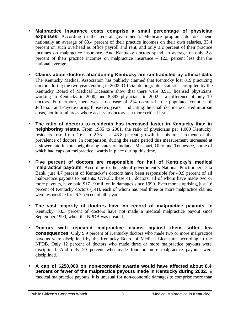- **Malpractice insurance costs comprise a small percentage of physician expenses.** According to the federal government's Medicare program, doctors spend nationally an average of 63.4 percent of their practice incomes on their own salaries, 33.4 percent on such overhead as office payroll and rent, and only 3.2 percent of their practice incomes on malpractice insurance. And Kentucky doctors spend an average of only 2.8 percent of their practice incomes on malpractice insurance – 12.5 percent less than the national average.
- **Claims about doctors abandoning Kentucky are contradicted by official data.** The Kentucky Medical Association has publicly claimed that Kentucky lost 819 practicing doctors during the two years ending in 2002. Official demographic statistics compiled by the Kentucky Board of Medical Licensure show that there were 8,911 licensed physicians working in Kentucky in 2000, and 8,892 physicians in 2002 – a difference of only 19 doctors. Furthermore, there was a decrease of 214 doctors in the populated counties of Jefferson and Fayette during those two years – indicating the small decline occurred in urban areas, not in rural areas where access to doctors is a more critical issue.
- **The ratio of doctors to residents has increased faster in Kentucky than in neighboring states.** From 1985 to 2001, the ratio of physicians per 1,000 Kentucky residents rose from  $1.62$  to  $2.33 - a$  43.8 percent growth in this measurement of the prevalence of doctors. In comparison, during the same period this measurement increased at a slower rate in four neighboring states of Indiana, Missouri, Ohio and Tennessee, some of which had caps on melpractice awards in place during this time.
- **Five percent of doctors are responsible for half of Kentucky's medical malpractice payouts.** According to the federal government's National Practitioner Data Bank, just 4.7 percent of Kentucky's doctors have been responsible for 49.9 percent of all malpractice payouts to patients. Overall, these 411 doctors, all of whom have made two or more payouts, have paid \$171.9 million in damages since 1990. Even more surprising, just 1.6 percent of Kentucky doctors (141), each of whom has paid three or more malpractice claims, were responsible for 26.7 percent of all payouts.
- **The vast majority of doctors have no record of malpractice payouts.** In Kentucky, 83.3 percent of doctors have not made a medical malpractice payout since September 1990, when the NPDB was created.
- **Doctors with repeated malpractice claims against them suffer few consequences**. Only 9.9 percent of Kentucky doctors who made two or more malpractice payouts were disciplined by the Kentucky Board of Medical Licensure, according to the NPDB. Only 12 percent of doctors who made three or more malpractice payouts were disciplined. And only 20 percent who made four or more malpractice payouts were disciplined.
- **A cap of \$250,000 on non-economic awards would have affected about 8.4 percent or fewer of the malpractice payouts made in Kentucky during 2002.** In medical malpractice payouts, it is unusual for non-economic damages to comprise more than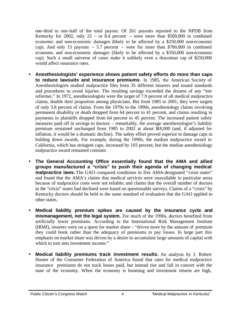one-third to one-half of the total payout. Of 261 payouts reported to the NPDB from Kentucky for 2002, only  $22 - or 8.4$  percent – were more than \$500,000 in combined economic and non-economic damages (likely to be affected by a \$250,000 non-economic cap). And only 15 payouts  $-5.7$  percent – were for more than \$700,000 in combined economic and non-economic damages (likely to be affected by a \$350,000 non-economic cap). Such a small universe of cases make it unlikely even a draconian cap of \$250,000 would affect insurance rates.

- **Anesthesiologists' experience shows patient safety efforts do more than caps to reduce lawsuits and insurance premiums**. In 1985, the American Society of Anesthesiologists studied malpractice files from 35 different insurers and issued standards and procedures to avoid injuries. The resulting savings exceeded the dreams of any "tort reformer." In 1972, anesthesiologists were the target of 7.9 percent of all medical malpractice claims, double their proportion among physicians. But from 1985 to 2001, they were targets of only 3.8 percent of claims. From the 1970s to the 1990s, anesthesiology claims involving permanent disability or death dropped from 64 percent to 41 percent, and claims resulting in payments to plaintiffs dropped from 64 percent to 45 percent. The increased patient safety measures paid off in savings to doctors – remarkably, the average anesthesiologist's liability premium remained unchanged from 1985 to 2002 at about \$18,000 (and, if adjusted for inflation, it would be a dramatic decline). The safety effort proved superior to damage caps in holding down awards. For example, during the 1990s, the median malpractice award in California, which has stringent caps, increased by 103 percent, but the median anesthesiology malpractice award remained constant.
- **The General Accounting Office essentially found that the AMA and allied groups manufactured a "crisis" to push their agenda of changing medical malpractice laws.** The GAO compared conditions in five AMA-designated "crisis states" and found that the AMA's claims that medical services were unavailable in particular areas because of malpractice costs were not reliable; and claims that the overall number of doctors in the "crisis" states had declined were based on questionable surveys. Claims of a "crisis" by Kentucky doctors should be held to the same standard of evaluation that the GAO applied to other states.
- **Medical liability premium spikes are caused by the insurance cycle and mismanagement, not the legal system.** For much of the 1990s, doctors benefited from artificially lower premiums. According to the International Risk Management Institute (IRMI), insurers were on a quest for market share – "driven more by the amount of premium they could book rather than the adequacy of premiums to pay losses. In large part this emphasis on market share was driven by a desire to accumulate large amounts of capital with which to turn into investment income."
- **Medical liability premiums track investment results.** An analysis by J. Robert Hunter of the Consumer Federation of America found that rates for medical malpractice insurance premiums do not track losses paid, but instead rise and fall in concert with the state of the economy. When the economy is booming and investment returns are high,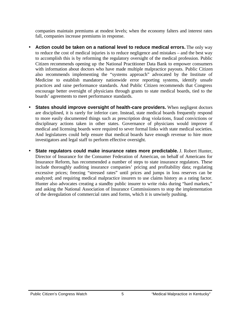companies maintain premiums at modest levels; when the economy falters and interest rates fall, companies increase premiums in response.

- **Action could be taken on a national level to reduce medical errors.** The only way to reduce the cost of medical injuries is to reduce negligence and mistakes – and the best way to accomplish this is by reforming the regulatory oversight of the medical profession. Public Citizen recommends opening up the National Practitioner Data Bank to empower consumers with information about doctors who have made multiple malpractice payouts. Public Citizen also recommends implementing the "systems approach" advocated by the Institute of Medicine to establish mandatory nationwide error reporting systems, identify unsafe practices and raise performance standards. And Public Citizen recommends that Congress encourage better oversight of physicians through grants to state medical boards, tied to the boards' agreements to meet performance standards.
- **States should improve oversight of health-care providers.** When negligent doctors are disciplined, it is rarely for inferior care. Instead, state medical boards frequently respond to more easily documented things such as prescription drug viola tions, fraud convictions or disciplinary actions taken in other states. Governance of physicians would improve if medical and licensing boards were required to sever formal links with state medical societies. And legislatures could help ensure that medical boards have enough revenue to hire more investigators and legal staff to perform effective oversight.
- **State regulators could make insurance rates more predictable.** J. Robert Hunter, Director of Insurance for the Consumer Federation of American, on behalf of Americans for Insurance Reform, has recommended a number of steps to state insurance regulators. These include thoroughly auditing insurance companies' pricing and profitability data; regulating excessive prices; freezing "stressed rates" until prices and jumps in loss reserves can be analyzed; and requiring medical malpractice insurers to use claims history as a rating factor. Hunter also advocates creating a standby public insurer to write risks during "hard markets," and asking the National Association of Insurance Commissioners to stop the implementation of the deregulation of commercial rates and forms, which it is unwisely pushing.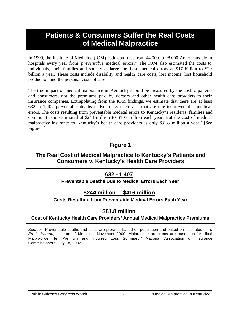# **Patients & Consumers Suffer the Real Costs of Medical Malpractice**

In 1999, the Institute of Medicine (IOM) estimated that from 44,000 to 98,000 Americans die in hospitals every year from *preventable* medical errors.<sup>1</sup> The IOM also estimated the costs to individuals, their families and society at large for these medical errors at \$17 billion to \$29 billion a year. These costs include disability and health care costs, lost income, lost household production and the personal costs of care.

The true impact of medical malpractice in Kentucky should be measured by the cost to patients and consumers, not the premiums paid by doctors and other health care providers to their insurance companies. Extrapolating from the IOM findings, we estimate that there are at least 632 to 1,407 preventable deaths in Kentucky each year that are due to preventable medical errors. The costs resulting from preventable medical errors to Kentucky's residents, families and communities is estimated at \$244 million to \$416 million each year. But the cost of medical malpractice insurance to Kentucky's health care providers is only \$81.8 million a year.<sup>2</sup> [See Figure 1]

### **Figure 1**

### **The Real Cost of Medical Malpractice to Kentucky's Patients and Consumers v. Kentucky's Health Care Providers**

### **632 - 1,407**

**Preventable Deaths Due to Medical Errors Each Year**

### **\$244 million - \$416 million**

#### **Costs Resulting from Preventable Medical Errors Each Year**

### **\$81.8 million**

#### **Cost of Kentucky Health Care Providers' Annual Medical Malpractice Premiums**

*Sources:* Preventable deaths and costs are prorated based on population and based on estimates in *To Err Is Human*, Institute of Medicine, November 2000. Malpractice premiums are based on "Medical Malpractice Net Premium and Incurred Loss Summary," National Association of Insurance Commissioners, July 18, 2002.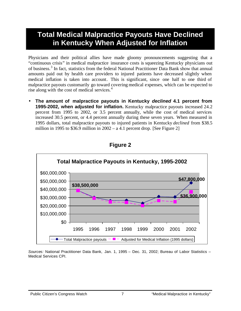# **Total Medical Malpractice Payouts Have Declined in Kentucky When Adjusted for Inflation**

Physicians and their political allies have made gloomy pronouncements suggesting that a "continuous crisis" in medical malpractice insurance costs is squeezing Kentucky physicians out of business. 3 In fact, statistics from the federal National Practitioner Data Bank show that annual amounts paid out by health care providers to injured patients have decreased slightly when medical inflation is taken into account. This is significant, since one half to one third of malpractice payouts customarily go toward covering medical expenses, which can be expected to rise along with the cost of medical services.<sup>4</sup>

• **The amount of malpractice payouts in Kentucky** *declined* **4.1 percent from 1995-2002, when adjusted for inflation.** Kentucky malpractice payouts increased 24.2 percent from 1995 to 2002, or 3.5 percent annually, while the cost of medical services increased 30.5 percent, or 4.4 percent annually during these seven years. When measured in 1995 dollars, total malpractice payouts to injured patients in Kentucky *declined* from \$38.5 million in 1995 to \$36.9 million in  $2002 - a 4.1$  percent drop. [See Figure 2]





*Sources:* National Practitioner Data Bank, Jan. 1, 1995 – Dec. 31, 2002; Bureau of Labor Statistics – Medical Services CPI.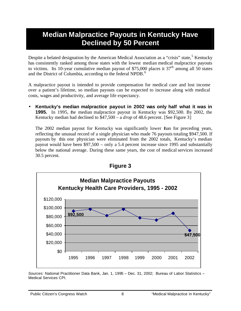# **Median Malpractice Payouts in Kentucky Have Declined by 50 Percent**

Despite a belated designation by the American Medical Association as a "crisis" state,<sup>5</sup> Kentucky has consistently ranked among those states with the lowest median medical malpractice payouts to victims. Its 10-year cumulative median payout of \$75,000 places it  $37<sup>th</sup>$  among all 50 states and the District of Columbia, according to the federal NPDB. 6

A malpractice payout is intended to provide compensation for medical care and lost income over a patient's lifetime, so median payouts can be expected to increase along with medical costs, wages and productivity, and average life expectancy.

• **Kentucky's median malpractice payout in 2002 was only half what it was in 1995.** In 1995, the median malpractice payout in Kentucky was \$92,500. By 2002, the Kentucky median had declined to \$47,500 – a *drop* of 48.6 percent. [See Figure 3]

The 2002 median payout for Kentucky was significantly lower than for preceding years, reflecting the unusual record of a single physician who made 76 payouts totaling \$947,500. If payouts by this one physician were eliminated from the 2002 totals, Kentucky's median payout would have been \$97,500 – only a 5.4 percent increase since 1995 and substantially below the national average. During these same years, the cost of medical services increased 30.5 percent.





*Sources:* National Practitioner Data Bank, Jan. 1, 1995 – Dec. 31, 2002; Bureau of Labor Statistics – Medical Services CPI.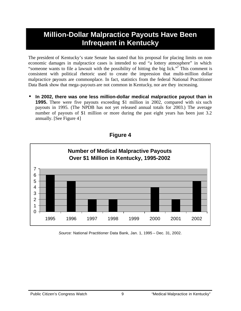# **Million-Dollar Malpractice Payouts Have Been Infrequent in Kentucky**

The president of Kentucky's state Senate has stated that his proposal for placing limits on noneconomic damages in malpractice cases is intended to end "a lottery atmosphere" in which "someone wants to file a lawsuit with the possibility of hitting the big lick."<sup>7</sup> This comment is consistent with political rhetoric used to create the impression that multi-million dollar malpractice payouts are commonplace. In fact, statistics from the federal National Practitioner Data Bank show that mega-payouts are not common in Kentucky, nor are they increasing.

• **In 2002, there was one less million-dollar medical malpractice payout than in 1995.** There were five payouts exceeding \$1 million in 2002, compared with six such payouts in 1995. (The NPDB has not yet released annual totals for 2003.) The average number of payouts of \$1 million or more during the past eight years has been just 3.2 annually. [See Figure 4]



### **Figure 4**

*Source:* National Practitioner Data Bank, Jan. 1, 1995 – Dec. 31, 2002.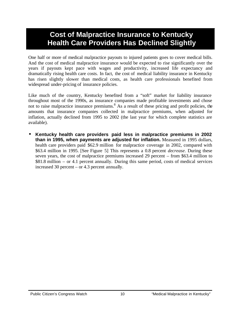# **Cost of Malpractice Insurance to Kentucky Health Care Providers Has Declined Slightly**

One half or more of medical malpractice payouts to injured patients goes to cover medical bills. And the cost of medical malpractice insurance would be expected to rise significantly over the years if payouts kept pace with wages and productivity, increased life expectancy and dramatically rising health care costs. In fact, the cost of medical liability insurance in Kentucky has risen slightly slower than medical costs, as health care professionals benefited from widespread under-pricing of insurance policies.

Like much of the country, Kentucky benefited from a "soft" market for liability insurance throughout most of the 1990s, as insurance companies made profitable investments and chose not to raise malpractice insurance premiums.<sup>8</sup> As a result of these pricing and profit policies, the amounts that insurance companies collected in malpractice premiums, when adjusted for inflation, actually declined from 1995 to 2002 (the last year for which complete statistics are available).

• **Kentucky health care providers paid less in malpractice premiums in 2002 than in 1995, when payments are adjusted for inflation.** Measured in 1995 dollars, health care providers paid \$62.9 million for malpractice coverage in 2002, compared with \$63.4 million in 1995. [See Figure 5] This represents a 0.8 percent *decrease*. During these seven years, the cost of malpractice premiums increased 29 percent – from \$63.4 million to \$81.8 million – or 4.1 percent annually. During this same period, costs of medical services increased 30 percent – or 4.3 percent annually.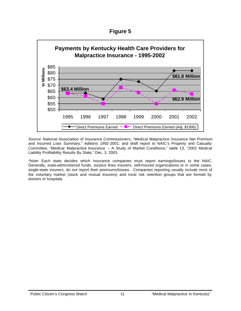**Figure 5**



*Source*: National Association of Insurance Commissioners, "Medical Malpractice Insurance Net Premium and Incurred Loss Summary," editions 1992-2001; and draft report to NAIC's Property and Casualty Committee, "Medical Malpractice Insurance – A Study of Market Conditions," table 13, "2002 Medical Liability Profitability Results By State," Dec. 3, 2003.

*\*Note*: Each state decides which insurance companies must report earnings/losses to the NAIC. Generally, state-administered funds, surplus lines insurers, self-insured organizations or in some cases, single-state insurers, do not report their premiums/losses. Companies reporting usually include most of the voluntary market (stock and mutual insurers) and most risk retention groups that are formed by doctors or hospitals.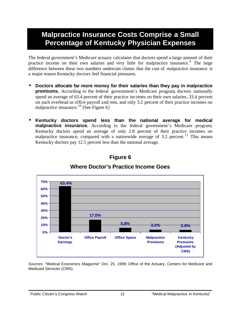# **Malpractice Insurance Costs Comprise a Small Percentage of Kentucky Physician Expenses**

The federal government's Medicare actuary calculates that doctors spend a large amount of their practice income on their own salaries and very little for malpractice insurance.<sup>9</sup> The large difference between these two numbers undercuts claims that the cost of malpractice insurance is a major reason Kentucky doctors feel financial pressures.

- **Doctors allocate far more money for their salaries than they pay in malpractice premiums.** According to the federal government's Medicare program, doctors nationally spend an average of 63.4 percent of their practice incomes on their own salaries, 33.4 percent on such overhead as office payroll and rent, and only 3.2 percent of their practice incomes on malpractice insurance.<sup>10</sup> [See Figure 6]
- **Kentucky doctors spend less than the national average for medical malpractice insurance.** According to the federal government's Medicare program, Kentucky doctors spend an average of only 2.8 percent of their practice incomes on malpractice insurance, compared with a nationwide average of  $3.2$  percent.<sup>11</sup> This means Kentucky doctors pay 12.5 percent less than the national average.



### **Figure 6 Where Doctor's Practice Income Goes**

*Sources:* "Medical Economics Magazine" Oct. 25, 1999; Office of the Actuary, Centers for Medicare and Medicaid Services (CMS).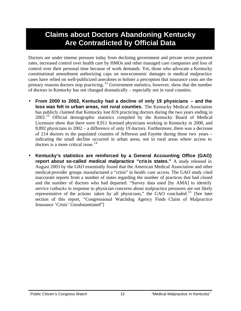# **Claims about Doctors Abandoning Kentucky Are Contradicted by Official Data**

Doctors are under intense pressure today from declining government and private sector payment rates, increased control over health care by HMOs and other managed care companies and loss of control over their personal time because of work demands. Yet, those who advocate a Kentucky constitutional amendment authorizing caps on non-economic damages in medical malpractice cases have relied on well-publicized anecdotes to bolster a perception that insurance costs are the primary reasons doctors stop practicing. <sup>12</sup> Government statistics, however, show that the number of doctors in Kentucky has not changed dramatically – especially not in rural counties.

- **From 2000 to 2002, Kentucky had a decline of only 19 physicians and the loss was felt in urban areas, not rural counties.** The Kentucky Medical Association has publicly claimed that Kentucky lost 819 practicing doctors during the two years ending in 2002.<sup>13</sup> Official demographic statistics compiled by the Kentucky Board of Medical Licensure show that there were 8,911 licensed physicians working in Kentucky in 2000, and 8,892 physicians in 2002 – a difference of only 19 doctors. Furthermore, there was a decrease of 214 doctors in the populated counties of Jefferson and Fayette during those two years – indicating the small decline occurred in urban areas, not in rural areas where access to doctors is a more critical issue.<sup>14</sup>
- **Kentucky's statistics are reinforced by a General Accounting Office (GAO) report about so-called medical malpractice "crisis states."** A study released in August 2003 by the GAO essentially found that the American Medical Association and other medical-provider groups manufactured a "crisis" in health care access. The GAO study cited inaccurate reports from a number of states regarding the number of practices that had closed and the number of doctors who had departed. "Survey data used [by AMA] to identify service cutbacks in response to physician concerns about malpractice pressures are not likely representative of the actions taken by all physicians," the GAO concluded.<sup>15</sup> [See later section of this report, "Congressional Watchdog Agency Finds Claim of Malpractice Insurance 'Crisis' Unsubstantiated"]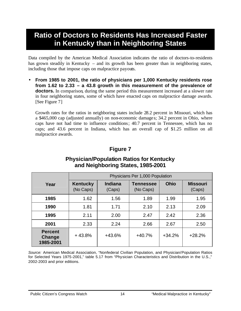# **Ratio of Doctors to Residents Has Increased Faster in Kentucky than in Neighboring States**

Data compiled by the American Medical Association indicates the ratio of doctors-to-residents has grown steadily in Kentucky – and its growth has been greater than in neighboring states, including those that impose caps on malpractice payouts.

• **From 1985 to 2001, the ratio of physicians per 1,000 Kentucky residents rose from 1.62 to 2.33 – a 43.8 growth in this measurement of the prevalence of doctors.** In comparison, during the same period this measurement increased at a slower rate in four neighboring states, some of which have enacted caps on malpractice damage awards. [See Figure 7]

Growth rates for the ratios in neighboring states include 28.2 percent in Missouri, which has a \$465,000 cap (adjusted annually) on non-economic damage s; 34.2 percent in Ohio, where caps have not had time to influence conditions; 40.7 percent in Tennessee, which has no caps; and 43.6 percent in Indiana, which has an overall cap of \$1.25 million on all malpractice awards.

### **Figure 7**

|                                       | Physicians Per 1,000 Population |                          |                        |             |                           |
|---------------------------------------|---------------------------------|--------------------------|------------------------|-------------|---------------------------|
| Year                                  | Kentucky<br>(No Caps)           | <b>Indiana</b><br>(Caps) | Tennessee<br>(No Caps) | <b>Ohio</b> | <b>Missouri</b><br>(Caps) |
| 1985                                  | 1.62                            | 1.56                     | 1.89                   | 1.99        | 1.95                      |
| 1990                                  | 1.81                            | 1.71                     | 2.10                   | 2.13        | 2.09                      |
| 1995                                  | 2.11                            | 2.00                     | 2.47                   | 2.42        | 2.36                      |
| 2001                                  | 2.33                            | 2.24                     | 2.66                   | 2.67        | 2.50                      |
| <b>Percent</b><br>Change<br>1985-2001 | $+43.8%$                        | +43.6%                   | $+40.7%$               | $+34.2%$    | $+28.2%$                  |

### **Physician/Population Ratios for Kentucky and Neighboring States, 1985-2001**

*Source:* American Medical Association, "Nonfederal Civilian Population, and Physician/Population Ratios for Selected Years 1975-2001," table 5.17 from "Physician Characteristics and Distribution in the U.S.," 2002-2003 and prior editions.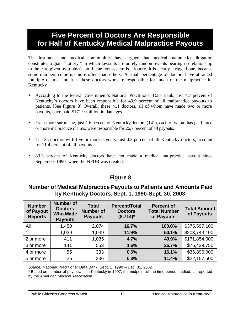# **Five Percent of Doctors Are Responsible for Half of Kentucky Medical Malpractice Payouts**

The insurance and medical communities have argued that medical malpractice litigation constitutes a giant "lottery," in which lawsuits are purely random events bearing no relationship to the care given by a physician. If the tort system is a lottery, it is clearly a rigged one, because some numbers come up more often than others. A small percentage of doctors have attracted multiple claims, and it is these doctors who are responsible for much of the malpractice in Kentucky.

- According to the federal government's National Practitioner Data Bank, just 4.7 percent of Kentucky's doctors have been responsible for 49.9 percent of all malpractice payouts to patients. [See Figure 8] Overall, these 411 doctors, all of whom have made two or more payouts, have paid \$171.9 million in damages.
- Even more surprising, just 1.6 percent of Kentucky doctors (141), each of whom has paid three or more malpractice claims, were responsible for 26.7 percent of all payouts.
- The 25 doctors with five or more payouts, just 0.3 percent of all Kentucky doctors, account for 11.4 percent of all payouts.
- 83.3 percent of Kentucky doctors have not made a medical malpractice payout since September 1990, when the NPDB was created.

### **Figure 8**

#### **Number of Medical Malpractice Payouts to Patients and Amounts Paid by Kentucky Doctors, Sept. 1, 1990-Sept. 30, 2003**

| <b>Number</b><br>of Payout<br><b>Reports</b> | <b>Number of</b><br><b>Doctors</b><br><b>Who Made</b><br><b>Payouts</b> | <b>Total</b><br><b>Number of</b><br><b>Payouts</b> | <b>Percent/Total</b><br><b>Doctors</b><br>$(8,714)^*$ | <b>Percent of</b><br><b>Total Number</b><br>of Payouts | <b>Total Amount</b><br>of Payouts |
|----------------------------------------------|-------------------------------------------------------------------------|----------------------------------------------------|-------------------------------------------------------|--------------------------------------------------------|-----------------------------------|
| All                                          | 1,450                                                                   | 2,074                                              | 16.7%                                                 | 100.0%                                                 | \$375,597,100                     |
|                                              | 1,039                                                                   | 1,039                                              | 11.9%                                                 | 50.1%                                                  | \$203,743,100                     |
| 2 or more                                    | 411                                                                     | 1,035                                              | 4.7%                                                  | 49.9%                                                  | \$171,854,000                     |
| 3 or more                                    | 141                                                                     | 553                                                | 1.6%                                                  | 26.7%                                                  | \$76,429,750                      |
| 4 or more                                    | 55                                                                      | 333                                                | 0.6%                                                  | 16.1%                                                  | \$36,896,000                      |
| 5 or more                                    | 25                                                                      | 236                                                | 0.3%                                                  | 11.4%                                                  | \$22,157,500                      |

*Source:* National Practitioner Data Bank, Sept. 1, 1990 – Dec. 31, 2002.

\* Based on number of physicians in Kentucky in 1997, the midpoint of the time period studied, as reported by the American Medical Association.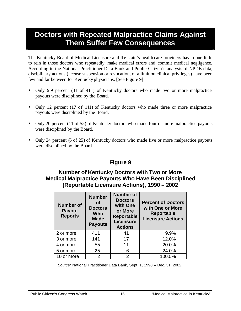# **Doctors with Repeated Malpractice Claims Against Them Suffer Few Consequences**

The Kentucky Board of Medical Licensure and the state's health care providers have done little to rein in those doctors who repeatedly make medical errors and commit medical negligence. According to the National Practitioner Data Bank and Public Citizen's analysis of NPDB data, disciplinary actions (license suspension or revocation, or a limit on clinical privileges) have been few and far between for Kentucky physicians. [See Figure 9]

- Only 9.9 percent (41 of 411) of Kentucky doctors who made two or more malpractice payouts were disciplined by the Board.
- Only 12 percent (17 of 141) of Kentucky doctors who made three or more malpractice payouts were disciplined by the Board.
- Only 20 percent (11 of 55) of Kentucky doctors who made four or more malpractice payouts were disciplined by the Board.
- Only 24 percent (6 of 25) of Kentucky doctors who made five or more malpractice payouts were disciplined by the Board.

### **Figure 9**

#### **Number of Kentucky Doctors with Two or More Medical Malpractice Payouts Who Have Been Disciplined (Reportable Licensure Actions), 1990 – 2002**

| <b>Number of</b><br><b>Payout</b><br><b>Reports</b> | <b>Number</b><br><b>of</b><br><b>Doctors</b><br>Who<br><b>Made</b><br><b>Payouts</b> | <b>Number of</b><br><b>Doctors</b><br>with One<br>or More<br><b>Reportable</b><br><b>Licensure</b><br><b>Actions</b> | <b>Percent of Doctors</b><br>with One or More<br><b>Reportable</b><br><b>Licensure Actions</b> |
|-----------------------------------------------------|--------------------------------------------------------------------------------------|----------------------------------------------------------------------------------------------------------------------|------------------------------------------------------------------------------------------------|
| 2 or more                                           | 411                                                                                  | 41                                                                                                                   | 9.9%                                                                                           |
| 3 or more                                           | 141                                                                                  | 17                                                                                                                   | 12.0%                                                                                          |
| 4 or more                                           | 55                                                                                   | 11                                                                                                                   | 20.0%                                                                                          |
| 5 or more                                           | 25                                                                                   | 6                                                                                                                    | 24.0%                                                                                          |
| 10 or more                                          | 2                                                                                    | $\overline{2}$                                                                                                       | 100.0%                                                                                         |

*Source:* National Practitioner Data Bank, Sept. 1, 1990 – Dec. 31, 2002.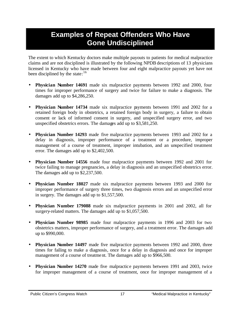# **Examples of Repeat Offenders Who Have Gone Undisciplined**

The extent to which Kentucky doctors make multiple payouts to patients for medical malpractice claims and are not disciplined is illustrated by the following NPDB descriptions of 13 physicians licensed in Kentucky who have made between four and eight malpractice payouts yet have not been disciplined by the state:<sup>16</sup>

- **Physician Number 14691** made six malpractice payments between 1992 and 2000, four times for improper performance of surgery and twice for failure to make a diagnosis. The damages add up to \$4,286,250.
- **Physician Number 14734** made six malpractice payments between 1991 and 2002 for a retained foreign body in obstetrics, a retained foreign body in surgery, a failure to obtain consent or lack of informed consent in surgery, and unspecified surgery error, and two unspecified obstetrics errors. The damages add up to \$3,581,250.
- **Physician Number 14293** made five malpractice payments between 1993 and 2002 for a delay in diagnosis, improper performance of a treatment or a procedure, improper management of a course of treatment, improper intubation, and an unspecified treatment error. The damages add up to \$2,402,500.
- **Physician Number 14556** made four malpractice payments between 1992 and 2001 for twice failing to manage pregnancies, a delay in diagnosis and an unspecified obstetrics error. The damages add up to \$2,237,500.
- **Physician Number 18027** made six malpractice payments between 1993 and 2000 for improper performance of surgery three times, two diagnosis errors and an unspecified error in surgery. The damages add up to \$1,557,500.
- **Physician Number 179088** made six malpractice payments in 2001 and 2002, all for surgery-related matters. The damages add up to \$1,057,500.
- **Physician Number 98985** made four malpractice payments in 1996 and 2003 for two obstetrics matters, improper performance of surgery, and a treatment error. The damages add up to \$990,000.
- **Physician Number 14497** made five malpractice payments between 1992 and 2000, three times for failing to make a diagnosis, once for a delay in diagnosis and once for improper management of a course of treatment. The damages add up to \$966,500.
- **Physician Number 14270** made five malpractice payments between 1991 and 2003, twice for improper management of a course of treatment, once for improper management of a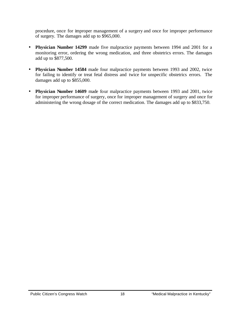procedure, once for improper management of a surgery and once for improper performance of surgery. The damages add up to \$965,000.

- **Physician Number 14299** made five malpractice payments between 1994 and 2001 for a monitoring error, ordering the wrong medication, and three obstetrics errors. The damages add up to \$877,500.
- **Physician Number 14584** made four malpractice payments between 1993 and 2002, twice for failing to identify or treat fetal distress and twice for unspecific obstetrics errors. The damages add up to \$855,000.
- **Physician Number 14609** made four malpractice payments between 1993 and 2001, twice for improper performance of surgery, once for improper management of surgery and once for administering the wrong dosage of the correct medication. The damages add up to \$833,750.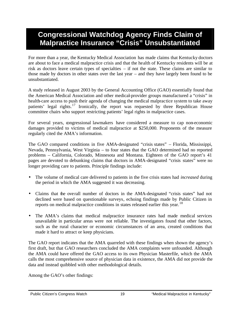# **Congressional Watchdog Agency Finds Claim of Malpractice Insurance "Crisis" Unsubstantiated**

For more than a year, the Kentucky Medical Association has made claims that Kentucky doctors are about to face a medical malpractice crisis and that the health of Kentucky residents will be at risk as doctors leave certain types of specialties – if not the state. These claims are similar to those made by doctors in other states over the last year – and they have largely been found to be unsubstantiated.

A study released in August 2003 by the General Accounting Office (GAO) essentially found that the American Medical Association and other medical-provider groups manufactured a "crisis" in health-care access to push their agenda of changing the medical malpractice system to take away patients' legal rights.<sup>17</sup> Ironically, the report was requested by three Republican House committee chairs who support restricting patients' legal rights in malpractice cases.

For several years, congressional lawmakers have considered a measure to cap non-economic damages provided to victims of medical malpractice at \$250,000. Proponents of the measure regularly cited the AMA's information.

The GAO compared conditions in five AMA-designated "crisis states" – Florida, Mississippi, Nevada, Pennsylvania, West Virginia – to four states that the GAO determined had no reported problems – California, Colorado, Minnesota and Montana. Eighteen of the GAO report's 41 pages are devoted to debunking claims that doctors in AMA-designated "crisis states" were no longer providing care to patients. Principle findings include:

- The volume of medical care delivered to patients in the five crisis states had *increased* during the period in which the AMA suggested it was decreasing.
- Claims that the overall number of doctors in the AMA-designated "crisis states" had not declined were based on questionable surveys, echoing findings made by Public Citizen in reports on medical malpractice conditions in states released earlier this year.<sup>18</sup>
- The AMA's claims that medical malpractice insurance rates had made medical services unavailable in particular areas were not reliable. The investigators found that other factors, such as the rural character or economic circumstances of an area, created conditions that made it hard to attract or keep physicians.

The GAO report indicates that the AMA quarreled with these findings when shown the agency's first draft, but that GAO researchers concluded the AMA complaints were unfounded. Although the AMA could have offered the GAO access to its own Physician Masterfile, which the AMA calls the most comprehensive source of physician data in existence, the AMA did not provide the data and instead quibbled with other methodological details.

Among the GAO's other findings: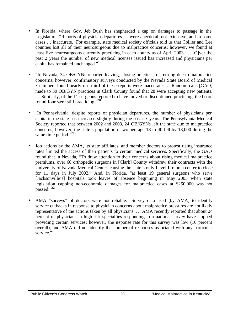- In Florida, where Gov. Jeb Bush has shepherded a cap on damages to passage in the Legislature, "Reports of physician departures … were anecdotal, not extensive, and in some cases … inaccurate. For example, state medical society officials told us that Collier and Lee counties lost all of their neurosurgeons due to malpractice concerns; however, we found at least five neurosurgeons currently practicing in each county as of April 2003. … [O]ver the past 2 years the number of new medical licenses issued has increased and physicians per capita has remained unchanged."<sup>19</sup>
- "In Nevada, 34 OB/GYNs reported leaving, closing practices, or retiring due to malpractice concerns; however, confirmatory surveys conducted by the Nevada State Board of Medical Examiners found nearly one-third of these reports were inaccurate. … Random calls [GAO] made to 30 OB/GYN practices in Clark County found that 28 were accepting new patients. … Similarly, of the 11 surgeons reported to have moved or discontinued practicing, the board found four were still practicing."<sup>20</sup>
- "In Pennsylvania, despite reports of physician departures, the number of physicians per capita in the state has increased slightly during the past six years. The Pennsylvania Medical Society reported that between 2002 and 2003, 24 OB/GYNs left the state due to malpractice concerns; however, the state's population of women age 18 to 40 fell by 18,000 during the same time period."<sup>21</sup>
- Job actions by the AMA, its state affiliates, and member doctors to protest rising insurance rates limited the access of their patients to certain medical services. Specifically, the GAO found that in Nevada, "To draw attention to their concerns about rising medical malpractice premiums, over 60 orthopedic surgeons in [Clark] County withdrew their contracts with the University of Nevada Medical Center, causing the state's only Level I trauma center to close for 11 days in July 2002." And, in Florida, "at least 19 general surgeons who serve [Jacksonville's] hospitals took leaves of absence beginning in May 2003 when state legislation capping non-economic damages for malpractice cases at \$250,000 was not passed."22
- AMA "surveys" of doctors were not reliable. "Survey data used [by AMA] to identify service cutbacks in response to physician concerns about malpractice pressures are not likely representative of the actions taken by all physicians. … AMA recently reported that about 24 percent of physicians in high-risk specialties responding to a national survey have stopped providing certain services; however, the response rate for this survey was low (10 percent overall), and AMA did not identify the number of responses associated with any particular service." $^{23}$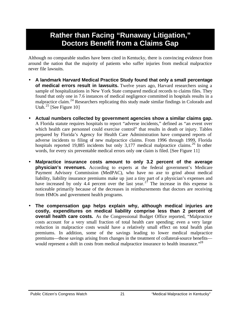# **Rather than Facing "Runaway Litigation," Doctors Benefit from a Claims Gap**

Although no comparable studies have been cited in Kentucky, there is convincing evidence from around the nation that the majority of patients who suffer injuries from medical malpractice never file lawsuits.

- **A landmark Harvard Medical Practice Study found that only a small percentage of medical errors result in lawsuits.** Twelve years ago, Harvard researchers using a sample of hospitalizations in New York State compared medical records to claims files. They found that only one in 7.6 instances of medical negligence committed in hospitals results in a malpractice claim.<sup>24</sup> Researchers replicating this study made similar findings in Colorado and Utah.  $25$  [See Figure 10]
- **Actual numbers collected by government agencies show a similar claims gap.** A Florida statute requires hospitals to report "adverse incidents," defined as "an event over which health care personnel could exercise control" that results in death or injury. Tables prepared by Florida's Agency for Health Care Administration have compared reports of adverse incidents to filing of new malpractice claims. From 1996 through 1999, Florida hospitals reported 19,885 incidents but only 3,177 medical malpractice claims.<sup>26</sup> In other words, for every six preventable medical errors only one claim is filed. [See Figure 11]
- **Malpractice insurance costs amount to only 3.2 percent of the average physician's revenues.** According to experts at the federal government's Medicare Payment Advisory Commission (MedPAC), who have no axe to grind about medical liability, liability insurance premiums make up just a tiny part of a physician's expenses and have increased by only 4.4 percent over the last year.<sup>27</sup> The increase in this expense is noticeable primarily because of the decreases in reimbursements that doctors are receiving from HMOs and government health programs.
- **The compensation gap helps explain why, although medical injuries are costly, expenditures on medical liability comprise less than 2 percent of overall health care costs.** As the Congressional Budget Office reported, "Malpractice" costs account for a very small fraction of total health care spending; even a very large reduction in malpractice costs would have a relatively small effect on total health plan premiums. In addition, some of the savings leading to lower medical malpractice premiums—those savings arising from changes in the treatment of collateral-source benefits would represent a shift in costs from medical malpractice insurance to health insurance.<sup>228</sup>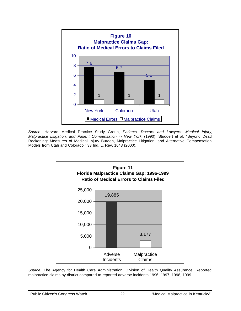

*Source:* Harvard Medical Practice Study Group, *Patients, Doctors and Lawyers: Medical Injury, Malpractice Litigation, and Patient Compensation in New York* (1990); Studdert et al, "Beyond Dead Reckoning: Measures of Medical Injury Burden, Malpractice Litigation, and Alternative Compensation Models from Utah and Colorado," 33 Ind. L. Rev. 1643 (2000).



*Source:* The Agency for Health Care Administration, Division of Health Quality Assurance. Reported malpractice claims by district compared to reported adverse incidents 1996, 1997, 1998, 1999.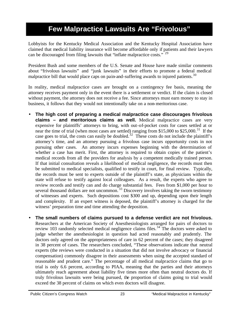# **Few Malpractice Lawsuits Are "Frivolous"**

Lobbyists for the Kentucky Medical Association and the Kentucky Hospital Association have claimed that medical liability insurance will become affordable only if patients and their lawyers can be discouraged from filing lawsuits that "inflate malpractice costs."<sup>29</sup>

President Bush and some members of the U.S. Senate and House have made similar comments about "frivolous lawsuits" and "junk lawsuits" in their efforts to promote a federal medical malpractice bill that would place caps on pain-and-suffering awards to injured patients.<sup>30</sup>

In reality, medical malpractice cases are brought on a contingency fee basis, meaning the attorney receives payment only in the event there is a settlement or verdict. If the claim is closed without payment, the attorney does not receive a fee. Since attorneys must earn money to stay in business, it follows that they would not intentionally take on a non-meritorious case.

- **The high cost of preparing a medical malpractice case discourages frivolous claims – and meritorious claims as well.** Medical malpractice cases are very expensive for plaintiffs' attorneys to bring, with out-of-pocket costs for cases settled at or near the time of trial (when most cases are settled) ranging from \$15,000 to \$25,000.<sup>31</sup> If the case goes to trial, the costs can easily be doubled.<sup>32</sup> These costs do not include the plaintiff's attorney's time, and an attorney pursuing a frivolous case incurs opportunity costs in not pursuing other cases. An attorney incurs expenses beginning with the determination of whether a case has merit. First, the attorney is required to obtain copies of the patient's medical records from all the providers for analysis by a competent medically trained person. If that initial consultation reveals a likelihood of medical negligence, the records must then be submitted to medical specialists, qualified to testify in court, for final review. Typically, the records must be sent to experts outside of the plaintiff's state, as physicians within the state will refuse to testify against local colleagues. As a result, the experts who agree to review records and testify can and do charge substantial fees. Fees from \$1,000 per hour to several thousand dollars are not uncommon.<sup>33</sup> Discovery involves taking the sworn testimony of witnesses and experts. Such depositions cost \$300 and up, depending upon their length and complexity. If an expert witness is deposed, the plaintiff's attorney is charged for the witness' preparation time and time attending the deposition.
- **The small numbers of claims pursued to a defense verdict are not frivolous.** Researchers at the American Society of Anesthesiologists arranged for pairs of doctors to review 103 randomly selected medical negligence claims files.<sup>34</sup> The doctors were asked to judge whether the anesthesiologist in question had acted reasonably and prudently. The doctors only agreed on the appropriateness of care in 62 percent of the cases; they disagreed in 38 percent of cases. The researchers concluded, "These observations indicate that neutral experts (the reviews were conducted in a situation that did not involve advocacy or financial compensation) commonly disagree in their assessments when using the accepted standard of reasonable and prudent care." The percentage of all medical malpractice claims that go to trial is only 6.6 percent, according to PIAA, meaning that the parties and their attorneys ultimately reach agreement about liability five times more often than neutral doctors do. If truly frivolous lawsuits were being pursued, the proportion of claims going to trial would exceed the 38 percent of claims on which even doctors will disagree.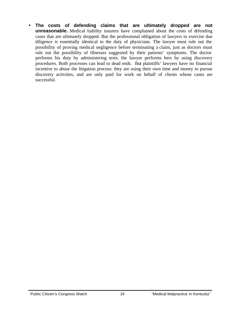• **The costs of defending claims that are ultimately dropped are not unreasonable.** Medical liability insurers have complained about the costs of defending cases that are ultimately dropped. But the professional obligation of lawyers to exercise due diligence is essentially identical to the duty of physicians. The lawyer must rule out the possibility of proving medical negligence before terminating a claim, just as doctors must rule out the possibility of illnesses suggested by their patients' symptoms. The doctor performs his duty by administering tests; the lawyer performs hers by using discovery procedures. Both processes can lead to dead ends. But plaintiffs' lawyers have no financial incentive to abuse the litigation process: they are using their own time and money to pursue discovery activities, and are only paid for work on behalf of clients whose cases are successful.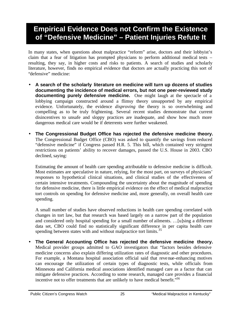# **Empirical Evidence Does not Confirm the Existence of "Defensive Medicine" – Patient Injuries Refute It**

In many states, when questions about malpractice "reform" arise, doctors and their lobbyist's claim that a fear of litigation has prompted physicians to perform additional medical tests – resulting, they say, in higher costs and risks to patients. A search of studies and scholarly literature, however, finds no empirical evidence that doctors are actually practicing this sort of "defensive" medicine:

- **A search of the scholarly literature on medicine will turn up dozens of studies documenting the incidence of medical errors, but not one peer-reviewed study documenting purely defensive medicine.** One might laugh at the spectacle of a lobbying campaign constructed around a flimsy theory unsupported by any empirical evidence. Unfortunately, the evidence *disproving* the theory is so overwhelming and compelling as to be truly frightening. Several recent studies demonstrate that current disincentives to unsafe and sloppy practices are inadequate, and show how much more dangerous medical care would be if deterrents were further weakened.
- **The Congressional Budget Office has rejected the defensive medicine theory.** The Congressional Budget Office (CBO) was asked to quantify the savings from reduced "defensive medicine" if Congress passed H.R. 5. This bill, which contained very stringent restrictions on patients' ability to recover damages, passed the U.S. House in 2003. CBO declined, saying:

Estimating the amount of health care spending attributable to defensive medicine is difficult. Most estimates are speculative in nature, relying, for the most part, on surveys of physicians' responses to hypothetical clinical situations, and clinical studies of the effectiveness of certain intensive treatments. Compounding the uncertainty about the magnitude of spending for defensive medicine, there is little empirical evidence on the effect of medical malpractice tort controls on spending for defensive medicine and, more generally, on overall health care spending.

A small number of studies have observed reductions in health care spending correlated with changes in tort law, but that research was based largely on a narrow part of the population and considered only hospital spending for a small number of ailments. …[u]sing a different data set, CBO could find no statistically significant difference in per capita health care spending between states with and without malpractice tort limits. $35$ 

• **The General Accounting Office has rejected the defensive medicine theory.** Medical provider groups admitted to GAO investigators that "factors besides defensive medicine concerns also explain differing utilization rates of diagnostic and other procedures. For example, a Montana hospital association official said that revenue-enhancing motives can encourage the utilization of certain types of diagnostic tests, while officials from Minnesota and California medical associations identified managed care as a factor that can mitigate defensive practices. According to some research, managed care provides a financial incentive not to offer treatments that are unlikely to have medical benefit.<sup> $36$ </sup>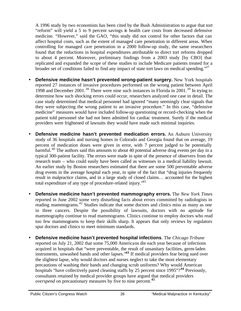A 1996 study by two economists has been cited by the Bush Administration to argue that tort "reform" will yield a 5 to 9 percent savings in health care costs from decreased defensive medicine. "However," said the GAO, "this study did not control for other factors that can affect hospital costs, such as the extent of managed care penetration in different areas. When controlling for managed care penetration in a 2000 follow-up study, the same researchers found that the reductions in hospital expenditures attributable to direct tort reforms dropped to about 4 percent. Moreover, preliminary findings from a 2003 study [by CBO] that replicated and expanded the scope of these studies to include Medicare patients treated for a broader set of conditions failed to find any impact of state tort laws on medical spending."<sup>37</sup>

- **Defensive medicine hasn't prevented wrong-patient surgery.** New York hospitals reported 27 instances of invasive procedures performed on the wrong patient between April 1998 and December 2001.<sup>38</sup> There were nine such instances in Florida in 2001.<sup>39</sup> In trying to determine how such shocking errors could occur, researchers analyzed one case in detail. The case study determined that medical personnel had ignored "many seemingly clear signals that they were subjecting the wrong patient to an invasive procedure." In this case, "defensive medicine" measures would have included follow-up questioning or record-checking when the patient told personnel she had not been admitted for cardiac treatment. Surely if the medical providers were frightened of lawsuits they would have made such minimal inquiries.
- **Defensive medicine hasn't prevented medication errors.** An Auburn University study of 36 hospitals and nursing homes in Colorado and Georgia found that on average, 19 percent of medication doses were given in error, with 7 percent judged to be potentially harmful.<sup>40</sup> The authors said this amounts to about 40 potential adverse drug events per day in a typical 300-patient facility. The errors were made in spite of the presence of observers from the research team – who could easily have been called as witnesses in a medical liability lawsuit. An earlier study by Boston researchers estimated that there are some 500 preventable adverse drug events in the average hospital each year, in spite of the fact that "drug injuries frequently result in malpractice claims, and in a large study of closed claims… accounted for the highest total expenditure of any type of procedure-related injury.<sup>41</sup>
- **Defensive medicine hasn't prevented mammography errors.** The *New York Times* reported in June 2002 some very disturbing facts about errors committed by radiologists in reading mammograms.<sup>42</sup> Studies indicate that some doctors and clinics miss as many as one in three cancers. Despite the possibility of lawsuits, doctors with no aptitude for mammography continue to read mammograms. Clinics continue to employ doctors who read too few mammograms to keep their skills sharp. It appears that only reviews by regulators spur doctors and clinics to meet minimum standards.
- **Defensive medicine hasn't prevented hospital infections**. The *Chicago Tribune* reported on July 21, 2002 that some 75,000 Americans die each year because of infections acquired in hospitals that "were preventable, the result of unsanitary facilities, germ-laden instruments, unwashed hands and other lapses."**<sup>43</sup>** If medical providers fear being sued over the slightest lapse, why would doctors and nurses neglect to take the most elementary precautions of washing their hands and changing scrub uniforms? Why would American hospitals "have collectively pared cleaning staffs by 25 percent since 1995"?**<sup>44</sup>** Previously, consultants retained by medical provider groups have argued that medical providers *overspend* on precautionary measures by five to nine percent.**<sup>45</sup>**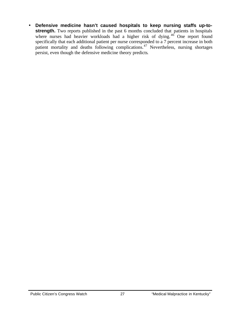• **Defensive medicine hasn't caused hospitals to keep nursing staffs up-tostrength.** Two reports published in the past 6 months concluded that patients in hospitals where nurses had heavier workloads had a higher risk of dying.  $46$  One report found specifically that each additional patient per nurse corresponded to a 7 percent increase in both patient mortality and deaths following complications.<sup>47</sup> Nevertheless, nursing shortages persist, even though the defensive medicine theory predicts.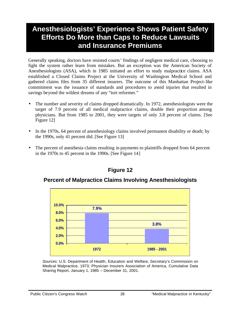# **Anesthesiologists' Experience Shows Patient Safety Efforts Do More than Caps to Reduce Lawsuits and Insurance Premiums**

Generally speaking, doctors have resisted courts' findings of negligent medical care, choosing to fight the system rather learn from mistakes. But an exception was the American Society of Anesthesiologists (ASA), which in 1985 initiated an effort to study malpractice claims. ASA established a Closed Claims Project at the University of Washington Medical School and gathered claims files from 35 different insurers. The outcome of this Manhattan Project-like commitment was the issuance of standards and procedures to avoid injuries that resulted in savings beyond the wildest dreams of any "tort reformer."

- The number and severity of claims dropped dramatically. In 1972, anesthesiologists were the target of 7.9 percent of all medical malpractice claims, double their proportion among physicians. But from 1985 to 2001, they were targets of only 3.8 percent of claims. [See Figure 12]
- In the 1970s, 64 percent of anesthesiology claims involved permanent disability or death; by the 1990s, only 41 percent did. [See Figure 13]
- The percent of anesthesia claims resulting in payments to plaintiffs dropped from 64 percent in the 1970s to 45 percent in the 1990s. [See Figure 14]



### **Figure 12**

### **Percent of Malpractice Claims Involving Anesthesiologists**

*Sources:* U.S. Department of Health, Education and Welfare, Secretary's Commission on Medical Malpractice, 1973; Physician Insurers Association of America, Cumulative Data Sharing Report, January 1, 1985 – December 31, 2001.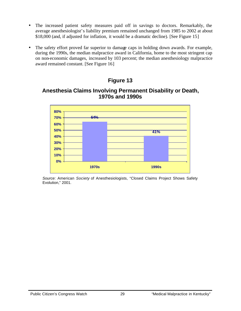- The increased patient safety measures paid off in savings to doctors. Remarkably, the average anesthesiologist's liability premium remained unchanged from 1985 to 2002 at about \$18,000 (and, if adjusted for inflation, it would be a dramatic decline). [See Figure 15]
- The safety effort proved far superior to damage caps in holding down awards. For example, during the 1990s, the median malpractice award in California, home to the most stringent cap on non-economic damages, increased by 103 percent; the median anesthesiology malpractice award remained constant. [See Figure 16]



### **Anesthesia Claims Involving Permanent Disability or Death, 1970s and 1990s**

**Figure 13**

*Source:* American *Society* of Anesthesiologists, "Closed Claims Project Shows Safety Evolution," 2001.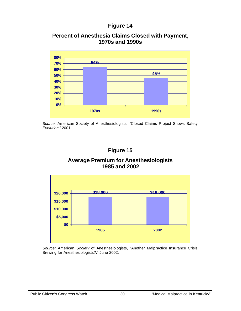### **Figure 14**

### **Percent of Anesthesia Claims Closed with Payment, 1970s and 1990s**



*Source:* American Society of Anesthesiologists, "Closed Claims Project Shows Safety *Evolution*," 2001.

### **Figure 15**

#### **Average Premium for Anesthesiologists 1985 and 2002**



*Source:* American *Society* of Anesthesiologists, "Another Malpractice Insurance Crisis Brewing for Anesthesiologists?," June 2002.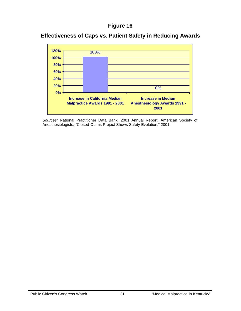### **Figure 16**

### **Effectiveness of Caps vs. Patient Safety in Reducing Awards**



*Sources:* National Practitioner Data Bank, 2001 Annual Report; American Society of Anesthesiologists, "Closed Claims Project Shows Safety Evolution," 2001.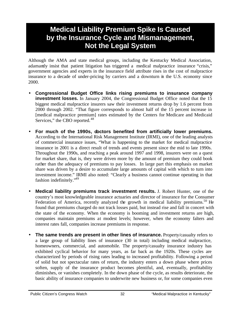# **Medical Liability Premium Spike Is Caused by the Insurance Cycle and Mismanagement, Not the Legal System**

Although the AMA and state medical groups, including the Kentucky Medical Association, adamantly insist that patient litigation has triggered a medical malpractice insurance "crisis," government agencies and experts in the insurance field attribute rises in the cost of malpractice insurance to a decade of under-pricing by carriers and a downturn in the U.S. economy since 2000.

- **Congressional Budget Office links rising premiums to insurance company investment losses.** In January 2004, the Congressional Budget Office noted that the 15 biggest medical malpractice insurers saw their investment returns drop by 1.6 percent from 2000 through 2002. "That figure corresponds to almost half of the 15 percent increase in [medical malpractice premium] rates estimated by the Centers for Medicare and Medicaid Services," the CBO reported.<sup>48</sup>
- **For much of the 1990s, doctors benefited from artificially lower premiums.** According to the International Risk Management Institute (IRMI), one of the leading analysts of commercial insurance issues, "What is happening to the market for medical malpractice insurance in 2001 is a direct result of trends and events present since the mid to late 1990s. Throughout the 1990s, and reaching a peak around 1997 and 1998, insurers were on a quest for market share, that is, they were driven more by the amount of premium they could book rather than the adequacy of premiums to pay losses. In large part this emphasis on market share was driven by a desire to accumulate large amounts of capital with which to turn into investment income." IRMI also noted: "Clearly a business cannot continue operating in that fashion indefinitely."<sup>49</sup>
- **Medical liability premiums track investment results.** J. Robert Hunter, one of the country's most knowledgeable insurance actuaries and director of insurance for the Consumer Federation of America, recently analyzed the growth in medical liability premiums.<sup>50</sup> He found that premiums charged do not track losses paid, but instead rise and fall in concert with the state of the economy. When the economy is booming and investment returns are high, companies maintain premiums at modest levels; however, when the economy falters and interest rates fall, companies increase premiums in response.
- **The same trends are present in other lines of insurance.** Property/casualty refers to a large group of liability lines of insurance (30 in total) including medical malpractice, homeowners, commercial, and automobile. The property/casualty insurance industry has exhibited cyclical behavior for many years, as far back as the 1920s. These cycles are characterized by periods of rising rates leading to increased profitability. Following a period of solid but not spectacular rates of return, the industry enters a down phase where prices soften, supply of the insurance product becomes plentiful, and, eventually, profitability diminishes, or vanishes completely. In the down phase of the cycle, as results deteriorate, the basic ability of insurance companies to underwrite new business or, for some companies even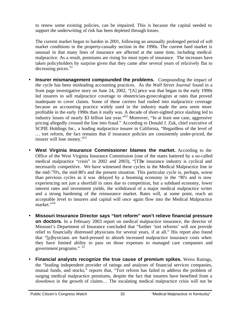to renew some existing policies, can be impaired. This is because the capital needed to support the underwriting of risk has been depleted through losses.

The current market began to harden in 2001, following an unusually prolonged period of soft market conditions in the property-casualty section in the 1990s. The current hard market is unusual in that many lines of insurance are affected at the same time, including medical malpractice. As a result, premiums are rising for most types of insurance. The increases have taken policyholders by surprise given that they came after several years of rela tively flat to  $decreasing$  prices.<sup>51</sup>

- **Insurer mismanagement compounded the problems.** Compounding the impact of the cycle has been misleading accounting practices. As the *Wall Street Journal* found in a front page investigative story on June 24, 2002, "[A] price war that began in the early 1990s led insurers to sell malpractice coverage to obstetrician-gynecologists at rates that proved inadequate to cover claims. Some of these carriers had rushed into malpractice coverage because an accounting practice widely used in the industry made the area seem more profitable in the early 1990s than it really was. A decade of short-sighted price slashing led to industry losses of nearly \$3 billion last year."<sup>52</sup> Moreover, "In at least one case, aggressive pricing allegedly crossed the line into fraud." According to Donald J. Zuk, chief executive of SCPIE Holdings Inc., a leading malpractice insurer in California, "Regardless of the level of … tort reform, the fact remains that if insurance policies are consistently under-priced, the insurer will lose money."<sup>53</sup>
- **West Virginia Insurance Commissioner blames the market.** According to the Office of the West Virginia Insurance Commission (one of the states battered by a so-called medical malpractice "crisis" in 2002 and 2003), "[T]he insurance industry is cyclical and necessarily competitive. We have witnessed these cycles in the Medical Malpractice line in the mid-'70's, the mid-80's and the present situation. This particular cycle is, perhaps, worse than previous cycles as it was delayed by a booming economy in the '90's and is now experiencing not just a shortfall in rates due to competition, but a subdued economy, lower interest rates and investment yields, the withdrawal of a major medical malpractice writer and a strong hardening of the reinsurance market. Rates will, at some point, reach an acceptable level to insurers and capital will once again flow into the Medical Malpractice market."<sup>54</sup>
- **Missouri Insurance Director says "tort reform" won't relieve financial pressure on doctors.** In a February 2003 report on medical malpractice insurance, the director of Missouri's Department of Insurance concluded that "further 'tort reforms' will not provide relief to financially distressed physicians for several years, if at all." His report also found that "[p]hysicians are hard-pressed to absorb increased malpractice insurance costs when they have limited ability to pass on those expenses to managed care companies and government programs." <sup>55</sup>
- **Financial analysts recognize the true cause of premium spikes.** Weiss Ratings, the "leading independent provider of ratings and analyses of financial services companies, mutual funds, and stocks," reports that, "Tort reform has failed to address the problem of surging medical malpractice premiums, despite the fact that insurers have benefited from a slowdown in the growth of claims… The escalating medical malpractice crisis will not be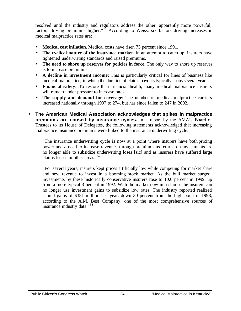resolved until the industry and regulators address the other, apparently more powerful, factors driving premiums higher.<sup>556</sup> According to Weiss, six factors driving increases in medical malpractice rates are:

- **Medical cost inflation.** Medical costs have risen 75 percent since 1991.
- **The cyclical nature of the insurance market.** In an attempt to catch up, insurers have tightened underwriting standards and raised premiums.
- **The need to shore up reserves for policies in force.** The only way to shore up reserves is to increase premiums.
- **A decline in investment income:** This is particularly critical for lines of business like medical malpractice, in which the duration of claims payouts typically spans several years.
- **Financial safety:** To restore their financial health, many medical malpractice insurers will remain under pressure to increase rates.
- **The supply and demand for coverage:** The number of medical malpractice carriers increased nationally through 1997 to 274, but has since fallen to 247 in 2002.
- **The American Medical Association acknowledges that spikes in malpractice premiums are caused by insurance cycles.** In a report by the AMA's Board of Trustees to its House of Delegates, the following statements acknowledged that increasing malpractice insurance premiums were linked to the insurance underwriting cycle:

"The insurance underwriting cycle is now at a point where insurers have both pricing power and a need to increase revenues through premiums as returns on investments are no longer able to subsidize underwriting loses [sic] and as insurers have suffered large claims losses in other areas."<sup>57</sup>

"For several years, insurers kept prices artificially low while competing for market share and new revenue to invest in a booming stock market. As the bull market surged, investments by these historically conservative insurers rose to 10.6 percent in 1999, up from a more typical 3 percent in 1992. With the market now in a slump, the insurers can no longer use investment gains to subsidize low rates. The industry reported realized capital gains of \$381 million last year, down 30 percent from the high point in 1998, according to the A.M. Best Company, one of the most comprehensive sources of insurance industry data."<sup>58</sup>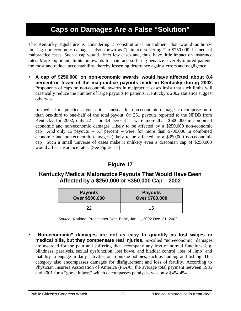# **Caps on Damages Are a False "Solution"**

The Kentucky legislature is considering a constitutional amendment that would authorize limiting non-economic damages, also known as "pain-and-suffering," to \$250,000 in medical malpractice cases. Such a cap would affect few cases and, thus, have little impact on insurance rates. More important, limits on awards for pain and suffering penalize severely injured patients the most and reduce accountability, thereby lessening deterrence against errors and negligence.

• **A cap of \$250,000 on non-economic awards would have affected about 8.4 percent or fewer of the malpractice payouts made in Kentucky during 2002.** Proponents of caps on non-economic awards in malpractice cases insist that such limits will drastically reduce the number of large payouts to patients. Kentucky's 2002 statistics suggest otherwise.

In medical malpractice payouts, it is unusual for non-economic damages to comprise more than one-third to one-half of the total payout. Of 261 payouts reported to the NPDB from Kentucky for 2002, only  $22 - or 8.4$  percent – were more than \$500,000 in combined economic and non-economic damages (likely to be affected by a \$250,000 non-economic cap). And only 15 payouts  $-5.7$  percent – were for more than \$700,000 in combined economic and non-economic damages (likely to be affected by a \$350,000 non-economic cap). Such a small universe of cases make it unlikely even a draconian cap of \$250,000 would affect insurance rates. [See Figure 17]

### **Figure 17**

### **Kentucky Medical Malpractice Payouts That Would Have Been Affected by a \$250,000 or \$350,000 Cap – 2002**

| <b>Payouts</b>        | <b>Payouts</b> |  |  |
|-----------------------|----------------|--|--|
| <b>Over \$500,000</b> | Over \$700,000 |  |  |
| つつ                    | 15             |  |  |

*Source:* National Practitioner Data Bank, Jan. 1, 2002-Dec. 31, 2002

• **"Non-economic" damages are not as easy to quantify as lost wages or medical bills, but they compensate real injuries.** So-called "non-economic" damages are awarded for the pain and suffering that accompany any loss of normal functions (e.g. blindness, paralysis, sexual dysfunction, lost bowel and bladder control, loss of limb) and inability to engage in daily activities or to pursue hobbies, such as hunting and fishing. This category also encompasses damages for disfigurement and loss of fertility. According to Physician Insurers Association of America (PIAA), the average total payment between 1985 and 2001 for a "grave injury," which encompasses paralysis, was only \$454,454.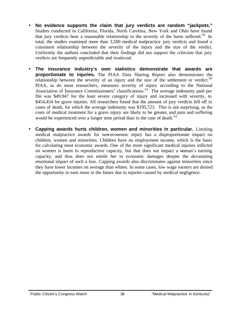- **No evidence supports the claim that jury verdicts are random "jackpots."** Studies conducted in California, Florida, North Carolina, New York and Ohio have found that jury verdicts bear a reasonable relationship to the severity of the harm suffered.<sup>59</sup> In total, the studies examined more than 3,500 medical malpractice jury verdicts and found a consistent relationship between the severity of the injury and the size of the verdict. Uniformly the authors concluded that their findings did not support the criticism that jury verdicts are frequently unpredictable and irrational.
- **The insurance industry's own statistics demonstrate that awards are proportionate to injuries.** The PIAA Data Sharing Report also demonstrates the relationship between the severity of an injury and the size of the settlement or verdict.<sup>60</sup> PIAA, as do most researchers, measures severity of injury according to the National Association of Insurance Commissioners' classifications.<sup>61</sup> The average indemnity paid per file was \$49,947 for the least severe category of injury and increased with severity, to \$454,454 for grave injuries. All researchers found that the amount of jury verdicts fell off in cases of death, for which the average indemnity was \$195,723. This is not surprising, as the costs of medical treatment for a grave injury are likely to be greater, and pain and suffering would be experienced over a longer time period than in the case of death.  $62$
- **Capping awards hurts children, women and minorities in particular.** Limiting medical malpractice awards for non-economic injury has a disproportionate impact on children, women and minorities. Children have no employment income, which is the basis for calculating most economic awards. One of the more significant medical injuries inflicted on women is harm to reproductive capacity, but that does not impact a woman's earning capacity, and thus does not entitle her to economic damages despite the devastating emotional impact of such a loss. Capping awards also discriminates against minorities since they have lower incomes on average than whites. In some cases, low wage earners are denied the opportunity to earn more in the future due to injuries caused by medical negligence.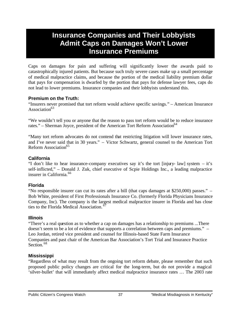# **Insurance Companies and Their Lobbyists Admit Caps on Damages Won't Lower Insurance Premiums**

Caps on damages for pain and suffering will significantly lower the awards paid to catastrophically injured patients. But because such truly severe cases make up a small percentage of medical malpractice claims, and because the portion of the medical liability premium dollar that pays for compensation is dwarfed by the portion that pays for defense lawyer fees, caps do not lead to lower premiums. Insurance companies and their lobbyists understand this.

#### **Premium on the Truth:**

"Insurers never promised that tort reform would achieve specific savings." – American Insurance Association $63$ 

"We wouldn't tell you or anyone that the reason to pass tort reform would be to reduce insurance rates." – Sherman Joyce, president of the American Tort Reform Association<sup>64</sup>

"Many tort reform advocates do not contend that restricting litigation will lower insurance rates, and I've never said that in 30 years." – Victor Schwartz, general counsel to the American Tort Reform Association<sup>65</sup>

#### **California**

"I don't like to hear insurance-company executives say it's the tort [injury- law] system – it's self-inflicted," – Donald J. Zuk, chief executive of Scpie Holdings Inc., a leading malpractice insurer in California.<sup>66</sup>

#### **Florida**

"No responsible insurer can cut its rates after a bill (that caps damages at \$250,000) passes." – Bob White, president of First Professionals Insurance Co. (formerly Florida Physicians Insurance Company, Inc). The company is the largest medical malpractice insurer in Florida and has close ties to the Florida Medical Association.<sup>67</sup>

#### **Illinois**

"There's a real question as to whether a cap on damages has a relationship to premiums ...There doesn't seem to be a lot of evidence that supports a correlation between caps and premiums." – Leo Jordan, retired vice president and counsel for Illinois-based State Farm Insurance Companies and past chair of the American Bar Association's Tort Trial and Insurance Practice Section.<sup>68</sup>

#### **Mississippi**

"Regardless of what may result from the ongoing tort reform debate, please remember that such proposed public policy changes are critical for the long-term, but do not provide a magical 'silver-bullet' that will immediately affect medical malpractice insurance rates … The 2003 rate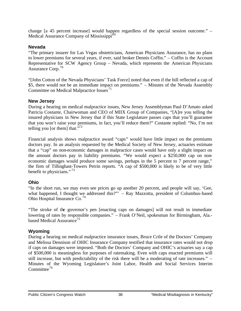change [a 45 percent increase] would happen regardless of the special session outcome." – Medical Assurance Company of Mississippi<sup>69</sup>

#### **Nevada**

"The primary insurer for Las Vegas obstetricians, American Physicians Assurance, has no plans to lower premiums for several years, if ever, said broker Dennis Coffin." – Coffin is the Account Representative for SCW Agency Group – Nevada, which represents the American Physicians Assurance Corp.<sup>70</sup>

"[John Cotton of the Nevada Physicians' Task Force] noted that even if the bill reflected a cap of \$5, there would not be an immediate impact on premiums." – Minutes of the Nevada Assembly Committee on Medical Malpractice Issues<sup>71</sup>

#### **New Jersey**

During a hearing on medical malpractice issues, New Jersey Assemblyman Paul D'Amato asked Patricia Costante, Chairwoman and CEO of MIIX Group of Companies, "[A]re you telling the insured physicians in New Jersey that if this State Legislature passes caps that you'll guarantee that you won't raise your premiums, in fact, you'll reduce them?" Costante replied: "No, I'm not telling you [or them] that. $\frac{1}{2}$ 

Financial analysis shows malpractice award "caps" would have little impact on the premiums doctors pay. In an analysis requested by the Medical Society of New Jersey, actuaries estimate that a "cap" on non-economic damages in malpractice cases would have only a slight impact on the amount doctors pay in liability premiums. "We would expect a \$250,000 cap on noneconomic damages would produce some savings, perhaps in the 5 percent to 7 percent range," the firm of Tillinghast-Towers Perrin reports. "A cap of \$500,000 is likely to be of very little benefit to physicians."<sup>73</sup>

#### **Ohio**

"In the short run, we may even see prices go up another 20 percent, and people will say, 'Gee, what happened, I thought we addressed this?"' – Ray Mazzotta, president of Columbus-based Ohio Hospital Insurance Co.<sup>74</sup>

"The stroke of the governor's pen [enacting caps on damages] will not result in immediate lowering of rates by responsible companies." – Frank O'Neil, spokesman for Birmingham, Ala. based Medical Assurance<sup>75</sup>

#### **Wyoming**

During a hearing on medical malpractice insurance issues, Bruce Crile of the Doctors' Company and Melissa Dennison of OHIC Insurance Company testified that insurance rates would not drop if caps on damages were imposed. "Both the Doctors' Company and OHIC's actuaries say a cap of \$500,000 is meaningless for purposes of ratemaking. Even with caps enacted premiums will still increase, but with predictability of the risk there will be a moderating of rate increases." – Minutes of the Wyoming Legislature's Joint Labor, Health and Social Services Interim Committee<sup>76</sup>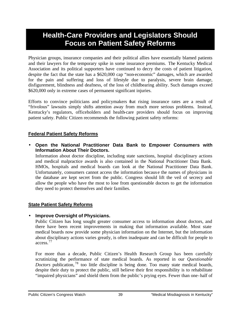# **Health-Care Providers and Legislators Should Focus on Patient Safety Reforms**

Physician groups, insurance companies and their political allies have essentially blamed patients and their lawyers for the temporary spike in some insurance premiums. The Kentucky Medical Association and its political supporters have continued to decry the costs of patient litigation, despite the fact that the state has a \$620,000 cap "non-economic" damages, which are awarded for the pain and suffering and loss of lifestyle due to paralysis, severe brain damage, disfigurement, blindness and deafness, of the loss of childbearing ability. Such damages exceed \$620,000 only in extreme cases of permanent significant injuries.

Efforts to convince politicians and policymakers that rising insurance rates are a result of "frivolous" lawsuits simply shifts attention away from much more serious problems. Instead, Kentucky's regulators, officeholders and health-care providers should focus on improving patient safety. Public Citizen recommends the following patient safety reforms:

#### **Federal Patient Safety Reforms**

• **Open the National Practitioner Data Bank to Empower Consumers with Information About Their Doctors.** 

Information about doctor discipline, including state sanctions, hospital disciplinary actions and medical malpractice awards is also contained in the National Practitioner Data Bank. HMOs, hospitals and medical boards can look at the National Practitioner Data Bank. Unfortunately, consumers cannot access the information becaus e the names of physicians in the database are kept secret from the public. Congress should lift the veil of secrecy and allow the people who have the most to lose from questionable doctors to get the information they need to protect themselves and their families.

#### **State Patient Safety Reforms**

#### • **Improve Oversight of Physicians.**

Public Citizen has long sought greater consumer access to information about doctors, and there have been recent improvements in making that information available. Most state medical boards now provide some physician information on the Internet, but the information about disciplinary actions varies greatly, is often inadequate and can be difficult for people to access.<sup>77</sup>

For more than a decade, Public Citizen's Health Research Group has been carefully scrutinizing the performance of state medical boards. As reported in our *Questionable Doctors* publication,<sup>78</sup> too little discipline is being done. Too many state medical boards, despite their duty to protect the public, still believe their first responsibility is to rehabilitate "impaired physicians" and shield them from the public's prying eyes. Fewer than one-half of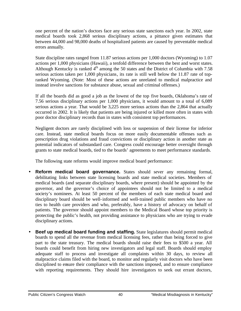one percent of the nation's doctors face any serious state sanctions each year. In 2002, state medical boards took 2,868 serious disciplinary actions, a pittance given estimates that between 44,000 and 98,000 deaths of hospitalized patients are caused by preventable medical errors annually.

State discipline rates ranged from 11.87 serious actions per 1,000 doctors (Wyoming) to 1.07 actions per 1,000 physicians (Hawaii), a tenfold difference between the best and worst states. Although Kentucky is ranked  $4<sup>th</sup>$  among the 50 states and the District of Columbia with 7.58 serious actions taken per 1,000 physicians, its rate is still well below the 11.87 rate of topranked Wyoming. (Note: Most of these actions are unrelated to medical malpractice and instead involve sanctions for substance abuse, sexual and criminal offenses.)

If all the boards did as good a job as the lowest of the top five boards, Oklahoma's rate of 7.56 serious disciplinary actions per 1,000 physicians, it would amount to a total of 6,089 serious actions a year. That would be 3,225 more serious actions than the 2,864 that actually occurred in 2002. It is likely that patients are being injured or killed more often in states with poor doctor disciplinary records than in states with consistent top performances.

Negligent doctors are rarely disciplined with loss or suspension of their license for inferior care. Instead, state medical boards focus on more easily documentable offenses such as prescription drug violations and fraud convictions or disciplinary action in another state as potential indicators of substandard care. Congress could encourage better oversight through grants to state medical boards, tied to the boards' agreements to meet performance standards.

The following state reforms would improve medical board performance:

- **Reform medical board governance.** States should sever any remaining formal, debilitating links between state licensing boards and state medical societies. Members of medical boards (and separate disciplinary boards, where present) should be appointed by the governor, and the governor's choice of appointees should not be limited to a medical society's nominees. At least 50 percent of the members of each state medical board and disciplinary board should be well-informed and well-trained public members who have no ties to health care providers and who, preferably, have a history of advocacy on behalf of patients. The governor should appoint members to the Medical Board whose top priority is protecting the public's health, not providing assistance to physicians who are trying to evade disciplinary actions.
- **Beef up medical board funding and staffing.** State legislatures should permit medical boards to spend all the revenue from medical licensing fees, rather than being forced to give part to the state treasury. The medical boards should raise their fees to \$500 a year. All boards could benefit from hiring new investigators and legal staff. Boards should employ adequate staff to process and investigate all complaints within 30 days, to review all malpractice claims filed with the board, to monitor and regularly visit doctors who have been disciplined to ensure their compliance with the sanctions imposed, and to ensure compliance with reporting requirements. They should hire investigators to seek out errant doctors,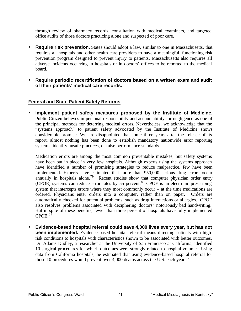through review of pharmacy records, consultation with medical examiners, and targeted office audits of those doctors practicing alone and suspected of poor care.

- **Require risk prevention.** States should adopt a law, similar to one in Massachusetts, that requires all hospitals and other health care providers to have a meaningful, functioning risk prevention program designed to prevent injury to patients. Massachusetts also requires all adverse incidents occurring in hospitals or in doctors' offices to be reported to the medical board.
- **Require periodic recertification of doctors based on a written exam and audit of their patients' medical care records.**

#### **Federal and State Patient Safety Reforms**

• **Implement patient safety measures proposed by the Institute of Medicine.** Public Citizen believes in personal responsibility and accountability for negligence as one of the principal methods for deterring medical errors. Nevertheless, we acknowledge that the "systems approach" to patient safety advocated by the Institute of Medicine shows considerable promise. We are disappointed that some three years after the release of its report, almost nothing has been done to establish mandatory nationwide error reporting systems, identify unsafe practices, or raise performance standards.

Medication errors are among the most common preventable mistakes, but safety systems have been put in place in very few hospitals. Although experts using the systems approach have identified a number of promising strategies to reduce malpractice, few have been implemented. Experts have estimated that more than 950,000 serious drug errors occur annually in hospitals alone.<sup>79</sup> Recent studies show that computer physician order entry  $(CPOE)$  systems can reduce error rates by 55 percent,  $80$  CPOE is an electronic prescribing system that intercepts errors where they most commonly occur – at the time medications are ordered. Physicians enter orders into a computer, rather than on paper. Orders are automatically checked for potential problems, such as drug interactions or allergies. CPOE also resolves problems associated with deciphering doctors' notoriously bad handwriting. But in spite of these benefits, fewer than three percent of hospitals have fully implemented  $CPOE.<sup>81</sup>$ 

• **Evidence-based hospital referral could save 4,000 lives every year, but has not been implemented.** Evidence-based hospital referral means directing patients with highrisk conditions to hospitals with characteristics shown to be associated with better outcomes. Dr. Adams Dudley, a researcher at the University of San Francisco at California, identified 10 surgical procedures for which outcomes were strongly related to hospital volume. Using data from California hospitals, he estimated that using evidence-based hospital referral for those 10 procedures would prevent over 4,000 deaths across the U.S. each year. $82$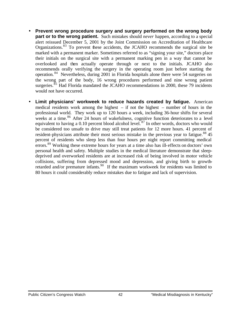- **Prevent wrong procedure surgery and surgery performed on the wrong body part or to the wrong patient.** Such mistakes should *never* happen, according to a special alert reissued December 5, 2001 by the Joint Commission on Accreditation of Healthcare Organizations.<sup>83</sup> To prevent these accidents, the JCAHO recommends the surgical site be marked with a permanent marker. Sometimes referred to as "signing your site," doctors place their initials on the surgical site with a permanent marking pen in a way that cannot be overlooked and then actually operate through or next to the initials. JCAHO also recommends orally verifying the surgery in the operating room just before starting the operation. <sup>84</sup> Nevertheless, during 2001 in Florida hospitals alone there were 54 surgeries on the wrong part of the body, 16 wrong procedures performed and nine wrong patient surgeries.<sup>85</sup> Had Florida mandated the JCAHO recommendations in 2000, these 79 incidents would not have occurred.
- **Limit physicians' workweek to reduce hazards created by fatigue.** American medical residents work among the highest – if not the highest – number of hours in the professional world. They work up to 120 hours a week, including 36-hour shifts for several weeks at a time.<sup>86</sup> After 24 hours of wakefulness, cognitive function deteriorates to a level equivalent to having a 0.10 percent blood alcohol level.  $87$  In other words, doctors who would be considered too unsafe to drive may still treat patients for 12 more hours. 41 percent of resident-physicians attribute their most serious mistake in the previous vear to fatigue.<sup>88</sup> 45 percent of residents who sleep less than four hours per night report committing medical errors.<sup>89</sup> Working these extreme hours for years at a time also has ill-effects on doctors' own personal health and safety. Multiple studies in the medical literature demonstrate that sleepdeprived and overworked residents are at increased risk of being involved in motor vehicle collisions, suffering from depressed mood and depression, and giving birth to growthretarded and/or premature infants.<sup>90</sup> If the maximum workweek for residents was limited to 80 hours it could considerably reduce mistakes due to fatigue and lack of supervision.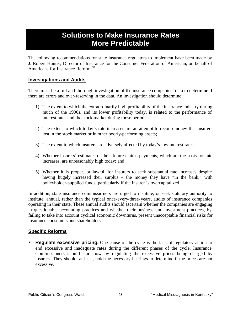# **Solutions to Make Insurance Rates More Predictable**

The following recommendations for state insurance regulators to implement have been made by J. Robert Hunter, Director of Insurance for the Consumer Federation of American, on behalf of Americans for Insurance Reform: <sup>91</sup>

#### **Investigations and Audits**

There must be a full and thorough investigation of the insurance companies' data to determine if there are errors and over-reserving in the data. An investigation should determine:

- 1) The extent to which the extraordinarily high profitability of the insurance industry during much of the 1990s, and its lower profitability today, is related to the performance of interest rates and the stock market during those periods;
- 2) The extent to which today's rate increases are an attempt to recoup money that insurers lost in the stock market or in other poorly-performing assets;
- 3) The extent to which insurers are adversely affected by today's low interest rates;
- 4) Whether insurers' estimates of their future claims payments, which are the basis for rate increases, are unreasonably high today; and
- 5) Whether it is proper, or lawful, for insurers to seek substantial rate increases despite having hugely increased their surplus – the money they have "in the bank," with policyholder-supplied funds, particularly if the insurer is overcapitalized.

In addition, state insurance commissioners are urged to institute, or seek statutory authority to institute, annual, rather than the typical once-every-three-years, audits of insurance companies operating in their state. These annual audits should ascertain whether the companies are engaging in questionable accounting practices and whether their business and investment practices, by failing to take into account cyclical economic downturns, present unacceptable financial risks for insurance consumers and shareholders.

#### **Specific Reforms**

• **Regulate excessive pricing.** One cause of the cycle is the lack of regulatory action to end excessive and inadequate rates during the different phases of the cycle. Insurance Commissioners should start now by regulating the excessive prices being charged by insurers. They should, at least, hold the necessary hearings to determine if the prices are not excessive.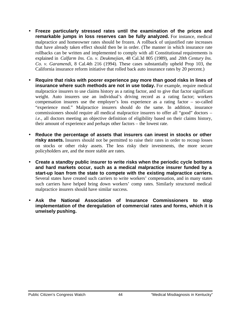- **Freeze particularly stressed rates until the examination of the prices and remarkable jumps in loss reserves can be fully analyzed.** For instance, medical malpractice and homeowner rates should be frozen. A rollback of unjustified rate increases that have already taken effect should then be in order. (The manner in which insurance rate rollbacks can be written and implemented to comply with all Constitutional requirements is explained in *Calfarm Ins. Co. v. Deukmejian*, 48 Cal.3d 805 (1989), and *20th Century Ins. Co. v. Garamendi*, 8 Cal.4th 216 (1994). These cases substantially upheld Prop 103, the California insurance reform initiative that rolled back auto insurance rates by 20 percent.)
- **Require that risks with poorer experience pay more than good risks in lines of insurance where such methods are not in use today.** For example, require medical malpractice insurers to use claims history as a rating factor, and to give that factor significant weight. Auto insurers use an individual's driving record as a rating factor; workers compensation insurers use the employer's loss experience as a rating factor – so-called "experience mod." Malpractice insurers should do the same. In addition, insurance commissioners should require all medical malpractice insurers to offer all "good" doctors – *i.e.*, all doctors meeting an objective definition of eligibility based on their claims history, their amount of experience and perhaps other factors – the lowest rate.
- **Reduce the percentage of assets that insurers can invest in stocks or other**  risky assets. Insurers should not be permitted to raise their rates in order to recoup losses on stocks or other risky assets. The less risky their investments, the more secure policyholders are, and the more stable are rates.
- **Create a standby public insurer to write risks when the periodic cycle bottoms and hard markets occur, such as a medical malpractice insurer funded by a start-up loan from the state to compete with the existing malpractice carriers.** Several states have created such carriers to write workers' compensation, and in many states such carriers have helped bring down workers' comp rates. Similarly structured medical malpractice insurers should have similar success.
- **Ask the National Association of Insurance Commissioners to stop implementation of the deregulation of commercial rates and forms, which it is unwisely pushing.**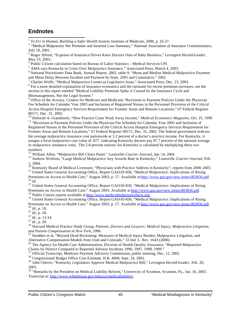### **Endnotes**

1 *To Err Is Human, Building a Safer Health System*, Institute of Medicine, 2000, p. 26-27.

<sup>2</sup> "Medical Malpractice Net Premium and Incurred Loss Summary," National Association of Insurance Commissioners, July 18, 2001.

3 Roger Alford, "Expense of Insurance Drives Knox Doctors Outs of Baby Business," *Lexington Herald-Leader*, May 23, 2003.

<sup>4</sup> Public Citizen calculation based on Bureau of Labor Statistics - Medical Services CPI.

<sup>5</sup> AMA says Kentucky in Crisis Over Malpractice Insurance," Associated Press, March 4, 2003.

<sup>6</sup> National Practitioner Data Bank, Annual Report, 2002, table 9: "Mean and Median Medical Malpractice Payment and Mean Delay Between Incident and Payment by State, 2001 and Cumulative," 2002.

<sup>7</sup> Charles Wolfe, "Medical Malpractice Looms as Legislative Issue," Associated Press, Dec. 23, 2003.

<sup>8</sup> For a more detailed explanation of insurance economics and the rationale for recent premium increases, see the section in this report entitled "Medical Liability Premium Spike is Caused by the Insurance Cycle and Mismanagement, Not the Legal System."

<sup>9</sup> Office of the Actuary, Centers for Medicare and Medicaid, "Revisions to Payment Policies Under the Physician Fee Schedule for Calendar Year 2003 and Inclusion of Registered Nurses in the Personnel Provision of the Critical Access Hospital Emergency Services Requirement for Frontier Areas and Remote Locations," 67 Federal Register 80171, Dec. 31, 2002*.*

<sup>10</sup> Deborah A. Grandinetti, "How Practice Costs Wash Away Income," *Medical Economics Magazine*, Oct. 25, 1999

<sup>11</sup> "Revisions to Payment Policies Under the Physician Fee Schedule for Calendar Year 2003 and Inclusion of Registered Nurses in the Personnel Provision of the Critical Access Hospital Emergency Services Requirement for Frontier Areas and Remote Locations," 67 Federal Register 80171, Dec. 31, 2002. The federal government indexes the average malpractice insurance cost nationwide at 3.2 percent of a doctor's practice income. For Kentucky, it assigns a local malpractice cost value of .877, indicating Kentucky doctors pay 87.7 percent of the national average in malpractice insurance costs. The 2.8 percent statistic for Kentucky is calculated by multiplying these two numbers.

<sup>12</sup> William Allen, "Malpractice Bill Clears Panel," Louisville *Courier-Journal*, Jan. 14, 2004.

<sup>13</sup> Andrew Wolfson, "Large Medical Malpractice Jury Awards Rate in Kentucky," Louisville *Courier-Journal*, Feb. 1, 2004.

<sup>14</sup> Kentucky Board of Medical Licensure, "Physicians with Practice Address in Kentucky", reports from 2000-2003. <sup>15</sup> United States General Accounting Office, Report GAO-03-836, "Medical Malpractice: Implications of Rising

Premiums on Access to Health Care," August 2003, p. 17. Available at http://www.gao.gov/new.items/d03836.pdf. <sup>16</sup> *Id.*

<sup>17</sup> United States General Accounting Office, Report GAO-03-836, "Medical Malpractice: Implications of Rising Premiums on Access to Health Care," August 2003. Available at http://www.gao.gov/new.items/d03836.pdf. <sup>18</sup> Public Citizen reports available at http://www.medicalmalpracticefacts.org.

<sup>19</sup> United States General Accounting Office, Report GAO-03-836, "Medical Malpractice: Implications of Rising Premiums on Access to Health Care," August 2003, p. 17. Available at http://www.gao.gov/new.items/d03836.pdf.

<sup>20</sup> *Id.,* p. 18.

 $^{21}$  *Id.*, p. 18.

<sup>22</sup> *Id*., p. 13-14.

<sup>23</sup> *Id*., p. 20.

<sup>24</sup> Harvard Medical Practice Study Group, *Patients, Doctors and Lawyers: Medical Injury, Malpractice Litigation, and Patient Compensation in New York,* 1990.

<sup>25</sup> Studdert et al, "Beyond Dead Reckoning: Measures of Medical Injury Burden, Malpractice Litigation, and Alternative Compensation Models from Utah and Colorado," 33 Ind. L. Rev. 1643 (2000).

<sup>26</sup> The Agency for Health Care Administration; Division of Health Quality Assurance, "Reported Malpractice Claims by District Compared to Reported Adverse Incidents 1996, 1997, 1998, 1999."

<sup>27</sup> Official Transcript, Medicare Payment Advisory Commission, public meeting, Dec. 12, 2002.

<sup>28</sup> Congressional Budget Office Cost Estimate, H.R. 4600, Sept. 24, 2002.

<sup>29</sup> John Cheves, "Kentucky Legislators Approve Medical Malpractice Bill," Lexington *Herald-Leader*, Feb. 20, 2003.

<sup>30</sup> "Remarks by the President on Medical Liability Reform," University of Scranton, Scranton, Pa., Jan. 16, 2003. Transcript at: http://www.whitehouse.gov/infocus/medicalliability/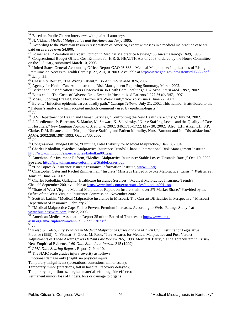$31$  Based on Public Citizen interviews with plaintiff attorneys.

<sup>33</sup> According to the Physician Insurers Association of America, expert witnesses in a medical malpractice case are paid on average over \$4,800.

<sup>34</sup> Posner et al, "Variation in Expert Opinion in Medical Malpractice Review," 85 *Anesthesiology 1049*, 1996.

<sup>35</sup> Congressional Budget Office, Cost Estimate for H.R. 5, HEALTH Act of 2003, ordered by the House Committee on the Judiciary, submitted March 10, 2003.

<sup>36</sup> United States General Accounting Office, Report GAO-03-836, "Medical Malpractice: Implications of Rising Premiums on Access to Health Care," p. 27, August 2003. Available at http://www.gao.gov/new.items/d03836.pdf. <sup>37</sup> *Id*., p. 29.

<sup>38</sup> Chassin & Becher, "The Wrong Patient," 136 *Ann Intern Med.* 826, 2002.

<sup>39</sup> Agency for Health Care Administration, Risk Management Reporting Summary, March 2002.

<sup>40</sup> Barker et al, "Medication Errors Observed in 36 Heath Care Facilities," 162 *Arch Intern Med*. *1897*, 2002.

<sup>41</sup> Bates et al, "The Costs of Adverse Drug Events in Hospitalized Patients," 277 *JAMA 307,* 1997.

<sup>42</sup> Moss, "Spotting Breast Cancer: Doctors Are Weak Link," *New York Times*, June 27, 2002.

<sup>43</sup> Berens, "Infection epidemic carves deadly path," *Chicago Tribune*, July 21, 2002. This number is attributed to the "Tribune's analysis, which adopted methods commonly used by epidemiologists."

<sup>44</sup> *Id.*

 $\overline{a}$ 

<sup>45</sup> U.S. Department of Health and Human Services, "Confronting the New Health Care Crisis," July 24, 2002.

<sup>46</sup> J. Needleman, P. Buerhaus, S. Mattke, M. Stewart, K. Zelevinsky, "Nurse-Staffing Levels and the Quality of Care

in Hospitals," *New England Journal of Medicine,* 2002; 346:1715-1722, May 30, 2002. Also: L.H. Aiken LH, S.P. Clarke, D.M. Sloane et al., "Hospital Nurse Staffing and Patient Mortality, Nurse Burnout and Job Dissatisfaction*,*"

*JAMA*, 2002;288:1987-1993, Oct. 23/30, 2002.

<sup>47</sup> *Id.*

<sup>48</sup> Congressional Budget Office, "Limiting Total Liability for Medical Malpractice," Jan. 8, 2004.

<sup>49</sup> Charles Kolodkin, "Medical Malpractice Insurance Trends? Chaos!" International Risk Management Institute. http://www.irmi.com/expert/articles/kolodkin001.asp

<sup>50</sup> Americans for Insurance Reform, "Medical Malpractice Insurance: Stable Losses/Unstable Rates," Oct. 10, 2002. See also: http://www.insurance-reform.org/StableLosses.pdf.

<sup>51</sup> "Hot Topics & Insurance Issues," Insurance Information Institute, www.iii.org

<sup>52</sup> Christopher Oster and Rachel Zimmerman, "Insurers' Missteps Helped Provoke Malpractice 'Crisis,'" *Wall Street Journal* , June 24, 2002.

<sup>53</sup> Charles Kolodkin, Gallagher Healthcare Insurance Services, "Medical Malpractice Insurance Trends? Chaos!" September 200, available at http://www.irmi.com/expert/articles/kolodkin001.asp.

<sup>54</sup> "State of West Virginia Medical Malpractice Report on Insurers with over 5% Market Share," Provided by the Office of the West Virginia Insurance Commission, November 2002.

<sup>55</sup> Scott B. Larkin, "Medical Malpractice Insurance in Missouri: The Current Difficulties in Perspective," Missouri Department of Insurance, February 2003.

<sup>56</sup> "Medical Malpractice Caps Fail to Prevent Premium Increases, According to Weiss Ratings Study," at www.businesswire.com, June 2, 2003.

 $\frac{57}{100}$  American Medical Association Report 35 of the Board of Trustees, at http://www.amaassn.org/ama1/upload/mm/annual02/bot35a02.rtf..

<sup>58</sup> *Id.*

<sup>59</sup> Kelso & Kelso*, Jury Verdicts in Medical Malpractice Cases and the MICRA Cap*, Institute for Legislative Practice (1999). N. Vidmar, F. Gross, M. Rose, "Jury Awards for Medical Malpractice and Post-Verdict Adjustments of Those Awards," 48 *DePaul Law Review* 265, 1998. Merritt & Barry, "Is the Tort System in Crisis? New Empirical Evidence," 60 *Ohio State Law Journal* 315 (1999).

<sup>60</sup> *PIAA Data Sharing Report*, Report 7, Part 10.

<sup>61</sup> The NAIC scale grades injury severity as follows:

Emotional damage only (fright; no physical injury);

Temporary insignificant (lacerations, contusions, minor scars);

Temporary minor (infections, fall in hospital, recovery delayed);

Temporary major (burns, surgical material left, drug side-effects);

Permanent minor (loss of fingers, loss or damage to organs);

<sup>32</sup> N. Vidmar, *Medical Malpractice and the American Jury,* 1995.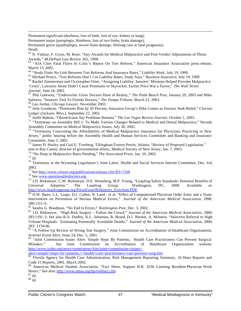Permanent significant (deafness, loss of limb, loss of eye, kidney or lung);

Permanent major (paraplegia, blindness, loss of two limbs, brain damage);

Permanent grave (quadriplegia, severe brain damage, lifelong care or fatal prognosis);

Death

 $\overline{a}$ 

<sup>62</sup> N. Vidmar, F. Gross, M. Rose, "Jury Awards for Medical Malpractice and Post-Verdict Adjustments of Those Awards," 48 *DePaul Law Review* 265, 1998.

<sup>63</sup> "AIA Cites Fatal Flaws In Critic's Report On Tort Reform," American Insurance Association press release, March 13, 2002.

<sup>64</sup> "Study Finds No Link Between Tort Reforms And Insurance Rates," *Liability Week*, July 19, 1999.

<sup>65</sup> Michael Prince, "Tort Reforms Don't Cut Liability Rates, Study Says," *Business Insurance*, July 19, 1999

<sup>66</sup> Rachel Zimmerman and Ch ristopher Oster, "Assigning Liability: Insurers' Missteps Helped Provoke Malpractice 'Crisis'; Lawsuits Alone Didn't Cause Premiums to Skyrocket; Earlier Price War a Factor," *The Wall Street Journal*, June 24, 2002.

<sup>67</sup> Phil Galewitz, "Underwriter Gives Doctors Dose of Reality," *The Palm Beach Post*, January 29, 2003 and Mike Salinero, "Insurers Tied To Florida Doctors," *The Tampa Tribune*, March 22, 2003.

<sup>68</sup> Leo Jordan, *Chicago Lawyer*, November 2003.

<sup>69</sup> Julie Goodman, "Premiums Rise by 45 Percent; Insurance Group's Hike Comes as Doctors Seek Relief," *Clarion-Ledger* (Jackson, Miss.), September 22, 2002.

<sup>70</sup> Joelle Babula, "Obstetricians Say Problems Remain," *The Las Vegas Review-Journal*, October 1, 2002.

<sup>71</sup> "Testimony on Assembly Bill 1: To Make Various Changes Related to Medical and Dental Malpractice," Nevada Assembly Committee on Medical Malpractice Issues, July 30, 2002.

<sup>72</sup> "Testimony Concerning the Affordability of Medical Malpractice Insurance for Physicians Practicing in New Jersey," public hearing before the Assembly Health and Human Services Committee and Banking and Insurance Committee, June 3, 2002.

<sup>73</sup> James D. Hurley and Gail E. Tverberg, Tillinghast-Towers Perrin, Atlanta, "Review of Proposed Legislation," sent to Ray Cantor, director of governmental affairs, Medical Society of New Jersey, Jan. 7, 2003.

<sup>74</sup> "No Drop in Malpractice Rates Pending," *The Associated Press*, Jan. 10, 2003.

<sup>75</sup> *Id.*

<sup>76</sup> Testimony at the Wyoming Legislature's Joint Labor, Health and Social Services Interim Committee, Dec. 4-6, 2002.

<sup>77</sup> See http://www.citizen.org/publications/release.cfm?ID=7168

<sup>78</sup> See www.questionabledoctors.org

<sup>79</sup> J.D. Birkmeyer, C.M. Birkmeyer, D.E. Wennberg, M.P. Young, "Leapfrog Safety Standards: Potential Benefits of Universal Adoption." The Leapfrog Group. Washington, DC, 2000. Available at: http://www.leapfroggroup.org/PressEvent/Birkmeyer\_ExecSum.PDF.

<sup>80</sup> D.W. Bates, L.L. Leape, D.J. Cullen, N. Laird , et al. "Effect of Computerized Physician Order Entry and a Team Intervention on Prevention of Serious Medical Errors," *Journal of the American Medical Association*, 1998; 280:1311-6.

<sup>81</sup> Sandra G. Boodman, "No End to Errors," *Washington Post*, Dec. 3, 2002.

<sup>82</sup> J.D. Birkmeyer, "High-Risk Surgery – Follow the Crowd," *Journal of the American Medical Association*,. 2000; 283:1191-3; See also R.A. Dudley, K.L. Johansen, R. Brand, D.J. Rennie, A. Milstein, "Selective Referral to High Volume Hospitals: Estimating Potentially Avoidable Deaths," *Journal of the American Medical Association*, 2000; 283: 1159-66.

<sup>83</sup> "A Follow-Up Review of Wrong Site Surgery," Joint Commission on Accreditation of Healthcare Organizations, *Sentinel Event Alert*, Issue 24, Dec. 5, 2001.

<sup>84</sup> "Joint Commission Issues Alert: Simple Steps By Patients, Health Care Practitioners Can Prevent Surgical Mistakes." See Joint Commission on Accreditation of Healthcare Organizations website: http://www.jcaho.org/news+room/press+kits/joint+commission+issues+

alert+simple+steps+by+patients,++health+care+practitioners+can+prevent+surg.htm

85 Florida Agency for Health Care Administration, Risk Management Reporting Summary, 24 Hour Reports and Code 15 Reports, 2001, March 2002.

86 American Medical Student Association, "Fact Sheet, Support H.R. 3236 Limiting Resident-Physician Work Hours;" See also: http://www.amsa.org/hp/rwhfact.cfm.

<sup>87</sup> *Id.*  $\frac{88}{1}$